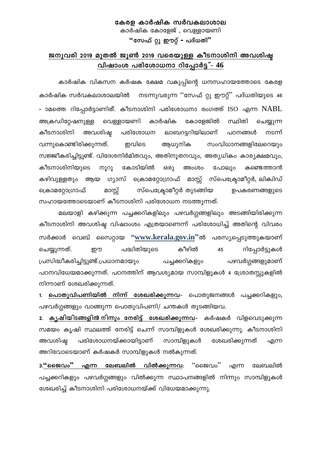### കേരള കാർഷിക സർവകലാശാല കാർഷിക കോളേജ്, വെള്ളായണി "സേഫ് റ്റു ഈറ്റ് - പദ്ധതി"

## ജനുവരി 2019 മുതൽ ജൂൺ 2019 വരെയുള്ള കീടനാശിനി അവശിഷ്ട <u>വിഷാംശ പരിശോധനാ റിപ്പോർട്ട് -  $46$ </u>

കാർഷിക വികസന കർഷക ക്ഷേമ വകുപ്പിന്റെ ധനസഹായത്തോടെ കേരള കാർഷിക സർവകലാശാലയിൽ നടന്നുവരുന്ന ''സേഫ് റ്റു ഈറ്റ്' പദ്ധതിയുടെ 46 - ാമത്തെ റിപ്പോർട്ടാണിത്. കീടനാശിനി പരിശോധനാ രംഗത്ത് ISO എന്ന NABL വെള്ളായണി അക്രഡിറ്റേഷനുള്ള കാർഷിക കോളേജിൽ സ്ഥിതി ചെയ്യുന്ന ലാബറട്ടറിയിലാണ് കീടനാശിനി അവശിഷ്ഠ പരിശോധന പഠനങ്ങൾ നടന്ന് വന്നുകൊണ്ടിരിക്കുന്നത്. ഇവിടെ ആധുനിക സംവിധാനങ്ങളിലേറെയും സജ്ജീകരിച്ചിട്ടുണ്ട്. വിദേശനിർമിതവും, അതിനൂതനവും, അത്യധികം കാര്യക്ഷമവും, കീടനാശിനിയുടെ ጠეე കോടിയിൽ ഒരു അംശം പോലും കണ്ടെത്താൻ കഴിവുള്ളതും ആയ ഗ്യാസ് ക്രൊമറ്റോഗ്രാഫ് മാസ്സ് സ്പെക്ട്രോമീറ്റർ, ലിക്വിഡ് സ്പെക്ട്രോമീറ്റർ തുടങ്ങിയ ക്രൊമറ്റോഗ്രാഫ് മാസ്സ് ഉപകരണങ്ങളുടെ സഹായത്തോടെയാണ് കീടനാശിനി പരിശോധന നടത്തുന്നത്.

മലയാളി കഴിക്കുന്ന പച്ചക്കറികളിലും പഴവർഗ്ഗങ്ങളിലും അടങ്ങിയിരിക്കുന്ന കീടനാശിനി അവശിഷ്ട വിഷാംശം എത്രയാണെന്ന് പരിശോധിച്ച് അതിന്റെ വിവരം സർക്കാർ വെബ് സൈറ്റായ "<u>www.kerala.gov.in</u>"ൽ പരസ്യപ്പെടുത്തുകയാണ് പദ്ധിതിയുടെ കീഴിൽ റിപ്പോർട്ടുകൾ ചെയ്യുന്നത്. றற 45 പ്രസിദ്ധീകരിച്ചിട്ടുണ്ട്.പ്രധാനമായും പഴവർഗ്ഗങ്ങളുമാണ് പച്ചക്കറികളും പഠനവിധേയമാക്കുന്നത്. പഠനത്തിന് ആവശ്യമായ സാമ്പിളുകൾ 4 ശ്രോതസ്സുകളിൽ നിന്നാണ് ശേഖരിക്കുന്നത്.

1. പൊ<mark>തുവിപണിയിൽ നിന്ന് ശേഖരിക്കുന്നവ</mark>– പൊതുജനങ്ങൾ പച്ചക്കറികളും, പഴവർഗ്ഗങ്ങളും വാങ്ങുന്ന പൊതുവിപണി/ ചന്തകൾ തുടങ്ങിയവ.

2. ക്യഷിയിടങ്ങളിൽനിന്നും നേരിട്ട് ശേഖരിക്കുന്നവ– കർഷകർ വിളവെടുക്കുന്ന സമയം കൃഷി സ്ഥലത്ത് നേരിട്ട് ചെന്ന് സാമ്പിളുകൾ ശേഖരിക്കുന്നു. കീടനാശിനി സാമ്പിളുകൾ അവശിഷ് പരിശോധനയ്ക്കായിട്ടാണ് ശേഖരിക്കുന്നത് എന്ന അറിവോടെയാണ് കർഷകർ സാമ്പിളുകൾ നൽകുന്നത്.

**3.**"ജൈവം" ്ജൈവം'' എന്ന ലേബലിൽ വിൽക്കുന്നവ: എന്ന ലേബലിൽ പച്ചക്കറികളും പഴവർഗ്ഗങ്ങളും വിൽക്കുന്ന സ്ഥാപനങ്ങളിൽ നിന്നും സാമ്പിളുകൾ ശേഖരിച്ച് കീടനാശിനി പരിശോധനയ്ക്ക് വിധേയമാക്കുന്നു.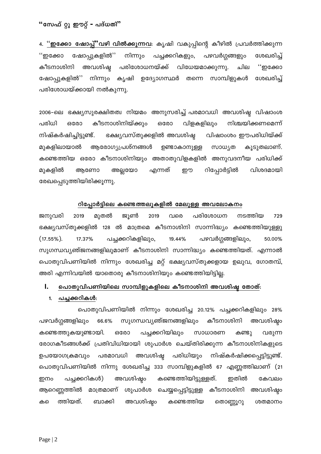4. <u>''**ഇക്കോ ഷോപ്പ്''വഴി വിൽക്കുന്നവ**: കൃഷി വകുപ്പിന്റെ കീഴിൽ പ്രവർത്തിക്കു</u>ന്ന ''ഇക്കോ ഷോപ്പുകളിൽ'' പച്ചക്കറികളും, പഴവർഗ്ഗങ്ങളും ശേഖരിച്ച് നിന്നും കീടനാശിനി അവശിഷ്ട പരിശോധനയ്ക്ക് വിധേയമാക്കുന്നു. ചില ''ഇക്കോ ഷോപ്പുകളിൽ'' നിന്നും കൃഷി ഉദ്യോഗസ്ഥർ തന്നെ സാമ്പിളുകൾ ശേഖരിച്ച് പരിശോധയ്ക്കായി നൽകുന്നു.

2006–ലെ ഭക്ഷ്യസുരക്ഷിതത്വ നിയമം അനുസരിച്ച് പരമാവധി അവശിഷ്ട വിഷാംശ പരിധി കീടനാശിനിയ്ക്കും വിളകളിലും നിശ്ചയിക്കണമെന്ന് ഒരോ ഒരോ നിഷ്കർഷിച്ചിട്ടുണ്ട്. ഭക്ഷ്യവസ്തുക്കളിൽ അവശിഷ്ഠ വിഷാംശം ഈപരിധിയ്ക്ക് മൂകളിലായാൽ ആരോഗ്യപ്രശ്നങ്ങൾ ഉണ്ടാകാനുള്ള സാധ്യത കൂടുതലാണ്. കണ്ടെത്തിയ ഒരോ കീടനാശിനിയും അതാതുവിളകളിൽ അനുവദനീയ പരിധിക്ക് റിപ്പോർട്ടിൽ മുകളിൽ അല്ലയോ എന്നത് றற വിശദമായി ആണോ രേഖപ്പെടുത്തിയിരിക്കൂന്നു.

#### റിപ്പോർട്ടിലെ കണ്ടെത്തലുകളിൽ മേലുള്ള അവലോകനം

ജൂൺ പരിശോധന നടത്തിയ ജനുവരി 2019 മൂതൽ 2019 വരെ 729 ഭക്ഷ്യവസ്തുക്കളിൽ 128 ൽ മാത്രമെ കീടനാശിനി സാന്നിദ്ധ്യം കണ്ടെത്തിയുള്ളു  $(17.55\%)$ . 17.37% പച്ചക്കറികളിലും, 19.44% പഴവർഗ്ഗങ്ങളിലും, 50.00% സുഗന്ധവ്യഞ്ജനങ്ങളിലുമാണ് കീടനാശിനി സാന്നിദ്ധ്യം കണ്ടെത്തിയത്. എന്നാൽ പൊതുവിപണിയിൽ നിന്നും ശേഖരിച്ച മറ്റ് ഭക്ഷ്യവസ്തുക്കളായ ഉലുവ, ഗോതമ്പ്, അരി എന്നിവയിൽ യാതൊരു കീടനാശിനിയും കണ്ടെത്തിയിട്ടില്ല.

#### $\mathbf{I}$ . പൊതുവിപണിയിലെ സാമ്പിളുകളിലെ കീടനാശിനി അവശിഷ്ട തോത്:

#### 1. പച്ചക്കറികൾ:

പൊതുവിപണിയിൽ നിന്നും ശേഖരിച്ച 20.12% പച്ചക്കറികളിലും 28% സുഗന്ധവ്യഞ്ജനങ്ങളിലും കീടനാശിനി അവശിഷ്ടം പഴവർഗ്ഗങ്ങളിലും 66.6% കണ്ടു കണ്ടെത്തുകയുണ്ടായി. പച്ചക്കറിയിലും സാധാരണ ഒരോ വരുന്ന രോഗകീടങ്ങൾക്ക് പ്രതിവിധിയായി ശുപാർശ ചെയ്തിരിക്കുന്ന കീടനാശിനികളുടെ അവശിഷ്ട പരിധിയും ഉപയോഗക്രമവും പരമാവധി നിഷ്കർഷിക്കപ്പെട്ടിട്ടുണ്ട്. പൊതുവിപണിയിൽ നിന്നു ശേഖരിച്ച 333 സാമ്പിളുകളിൽ 67 എണ്ണത്തിലാണ് (21 കണ്ടെത്തിയിട്ടുള്ളത്. പച്ചക്കറികൾ) അവശിഷ്ഠം ഇതിൽ ഇനം കേവലം ആറെണ്ണത്തിൽ കീടനാശിനി അവശിഷ്ഠ മാത്രമാണ് ശുപാർശ ചെയ്യപ്പെട്ടിട്ടുള്ള അവശിഷ്ഠം ത്തിയത്. ബാക്കി തൊണ്ണൂറു ക കണ്ടെത്തിയ ശതമാനം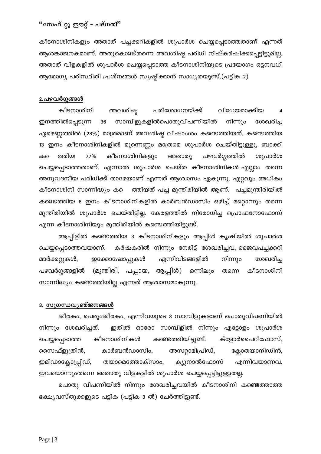കീടനാശിനികളും അതാത് പച്ചക്കറികളിൽ ശുപാർശ ചെയ്യപ്പെടാത്തതാണ് എന്നത് ആശങ്കാജനകമാണ്. അതുകൊണ്ട്തന്നെ അവശിഷ്ട പരിധി നിഷ്കർഷിക്കപ്പെട്ടിട്ടുമില്ല. അതാത് വിളകളിൽ ശുപാർശ ചെയ്യപ്പെടാത്ത കീടനാശിനിയുടെ പ്രയോഗം ഒട്ടനവധി ആരോഗ്യ പരിസ്ഥിതി പ്രശ്നങ്ങൾ സൃഷ്ടിക്കാൻ സാധ്യതയുണ്ട്.(പട്ടിക 2)

#### <u>2.പഴവർഗ്ഗങ്ങൾ</u>

കീടനാശിനി അവശിഷ്ഠ പരിശോധനയ്ക്ക് വിധേയമാക്കിയ  $\overline{4}$ ഇനത്തിൽപ്പെടുന്ന സാമ്പിളുകളിൽപൊതുവിപണിയിൽ നിന്നും ശേഖരിച്ച 36 ഏഴെണ്ണത്തിൽ (28%) മാത്രമാണ് അവശിഷ്ട വിഷാംശം കണ്ടെത്തിയത്. കണ്ടെത്തിയ 13 ഇനം കീടനാശിനികളിൽ മൂന്നെണ്ണം മാത്രമെ ശുപാർശ ചെയ്തിട്ടുള്ളു, ബാക്കി കീടനാശിനികളും പഴവർഗ്ഗത്തിൽ ത്തിയ 77% അതാതു ശുപാർശ കലെ ചെയ്യപ്പെടാത്തതാണ്. എന്നാൽ ശുപാർശ ചെയ്ത കീടനാശിനികൾ എല്ലാം തന്നെ അനുവദനീയ പരിധിക്ക് താഴേയാണ് എന്നത് ആശ്വാസം ഏകുന്നു. എറ്റവും അധികം ത്തിയത് പച്ച മുന്തിരിയിൽ ആണ്. പച്ചമുന്തിരിയിൽ കീടനാശിനി സാന്നിദ്ധ്യം കടെ കണ്ടെത്തിയ 8 ഇനം കീടനാശിനികളിൽ കാർബൻഡാസിം ഒഴിച്ച് മറ്റൊന്നും തന്നെ മുന്തിരിയിൽ ശുപാർശ ചെയ്തിട്ടില്ല. കേരളത്തിൽ നിരോധിച്ച പ്രൊഫനോഫോസ് എന്ന കീടനാശിനിയും മുന്തിരിയിൽ കണ്ടെത്തിയിട്ടുണ്ട്.

ആപ്പിളിൽ കണ്ടെത്തിയ 3 കീടനാശിനികളും ആപ്പിൾ കൃഷിയിൽ ശുപാർശ കർഷകരിൽ നിന്നും നേരിട്ട് ശേഖരിച്ചവ, ജൈവപച്ചക്കറി ചെയ്യപ്പെടാത്തവയാണ്. നിന്നൂം മാർക്കറ്റുകൾ, ഇക്കോഷോപ്പുകൾ എന്നിവിടങ്ങളിൽ ശേഖരിച്ച പഴവർഗ്ഗങ്ങളിൽ (മുന്തിരി, പപ്പായ, ആപ്പിൾ) ഒന്നിലും കീടനാശിനി തന്നെ സാന്നിദ്ധ്യം കണ്ടെത്തിയില്ല എന്നത് ആശ്വാസമാകുന്നു.

#### 3. സുഗന്ധവ്യഞ്ജനങ്ങൾ

ജീരകം, പെരുംജീരകം, എന്നിവയുടെ 3 സാമ്പിളുകളാണ് പൊതുവിപണിയിൽ നിന്നും ശേഖരിച്ചത്. ഇതിൽ ഓരോ സാമ്പിളിൽ നിന്നും എട്ടോളം ശുപാർശ കീടനാശിനികൾ കണ്ടെത്തിയിട്ടുണ്ട്. ക്ളോർപൈറിഫോസ്, ചെയ്യപ്പെടാത്ത സൈഫ്ളൂത്രിൻ, കാർബൻഡാസിം, അസറ്റാമിപ്രിഡ്, ക്ലോതയാനിഡിൻ, ഇമിഡാക്ലോപ്പ്രിഡ്, തയാമെത്തോക്സാം, ക്യുനാൽഫോസ് എന്നിവയാണവ. ഇവയൊന്നുംതന്നെ അതാതു വിളകളിൽ ശുപാർശ ചെയ്യപ്പെട്ടിട്ടുള്ളതല്ല.

പൊതു വിപണിയിൽ നിന്നും ശേഖരിച്ചവയിൽ കീടനാശിനി കണ്ടെത്താത്ത ഭക്ഷ്യവസ്തുക്കളുടെ പട്ടിക (പട്ടിക 3 ൽ) ചേർത്തിട്ടുണ്ട്.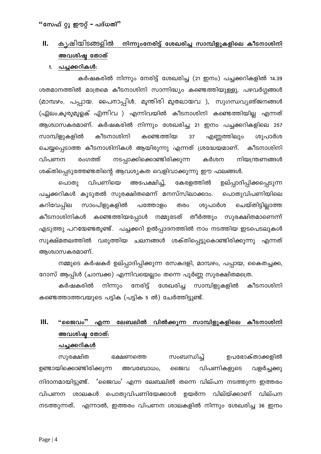## **II.** കൃഷിയിടങ്ങളിൽ നിന്നുംനേരിട്ട് ശേഖരിച്ച സാമ്പിളുകളിലെ കീടനാശിനി **അവശിഷ്ട തോ**ത്

#### 1. <u>പച്ചക്കറികൾ:</u>

കർഷകരിൽ നിന്നും നേരിട്ട് ശേഖരിച്ച (21 ഇനം) പച്ചക്കറികളിൽ 14.39 ശതമാനത്തിൽ മാത്രമെ കീടനാശിനി സാന്നിദ്ധ്യം കണ്ടെത്തിയുള്ളു. പഴവർഗ്ഗങ്ങൾ (മാമ്പഴം, പപ്പായ, പൈനാപ്പിൾ, മുന്തിരി മുതലായവ ), സുഗന്ധവ്യഞ്ജനങ്ങൾ (ഏലം,കുരുമുളക് എന്നിവ ) എന്നിവയിൽ കീടനാശിനി കണ്ടെത്തിയില്ല എന്നത് ആശ്വാസകരമാണ്. കർഷകരിൽ നിന്നും ശേഖരിച്ച 21 ഇനം പച്ചക്കറികളിലെ 257 സാമ്പിളുകളിൽ കീടനാശിനി കണ്ടെത്തിയ 37 എണ്ണത്തിലും ശുപാർശ ചെയ്യപ്പെടാത്ത കീടനാശിനികൾ ആയിരുന്നു എന്നത് ശ്രദ്ധേയമാണ്. കീടനാശിനി വിപണന രംഗത്ത് നടപ്പാക്കിക്കൊണ്ടിരിക്കുന്ന കർശന നിയന്ത്രണങ്ങൾ ശക്തിപ്പെടുത്തേണ്ടതിന്റെ ആവശ്യകത വെളിവാക്കുന്നു ഈ ഫലങ്ങൾ.

പൊതു വിപണിയെ അപേക്ഷിച്ച്, കേരളത്തിൽ ഉല്പ്പാദിപ്പിക്കപ്പെടുന്ന പച്ചക്കറികൾ കൂടുതൽ സുരക്ഷിതമെന്ന് മനസ്സിലാക്കാം. പൊതുവിപണിയിലെ കറിവേപ്പില സാംപിളുകളിൽ പത്തോളം തരം ശുപാർശ ചെയ്തിട്ടില്ലാത്ത കീടനാശിനികൾ കണ്ടെത്തിയപ്പോൾ നമ്മുടേത് തീർത്തും സുരക്ഷിതമാണെന്ന് എടുത്തു പറയേണ്ടതുണ്ട് $\ldots$  പച്ചക്കറി ഉൽപ്പാദനത്തിൽ നാം നടത്തിയ ഇടപെടലുകൾ സൂക്ഷ്മതലത്തിൽ വരുത്തിയ ചലനങ്ങൾ ശക്തിപ്പെട്ടുകൊണ്ടിരിക്കുന്നു എന്നത് അശ്വാസകരമാണ്.

നമ്മുടെ കർഷകർ ഉല്പ്പാദിപ്പിക്കുന്ന രസകദളി, മാമ്പഴം, പപ്പായ, കൈതച്ചക്ക, റോസ് ആപ്പിൾ (ചാമ്പക്ക) എന്നിവയെല്ലാം തന്നെ പൂർണ്ണ സുരക്ഷിതമത്രെ.

കർഷകരിൽ നിന്നും നേരിട്ട് ശേഖരിച്ച സാമ്പിളുകളിൽ കീടനാശിനി കണ്ടെത്താത്തവയുടെ പട്ടിക (പട്ടിക 5 ൽ) ചേർത്തിട്ടുണ്ട്.

# $III.$  "ജൈവം" എന്ന ലേബലിൽ വിൽക്കുന്ന സാമ്പിളുകളിലെ കീടനാശിനി അവശിഷ തോത്:

#### പച്ചക്കറികൾ

സുരക്ഷിത ഭക്ഷണത്തെ സംബന്ധിച്ച് ഉപഭോക്താക്കളിൽ ഉണ്ടായിക്കൊണ്ടിരിക്കുന്ന അവബോധം, ജൈവ വിപണികളുടെ വളർച്ചക്കു നിദാനമായിട്ടുണ്ട്.  $\,$ 'ജൈവം' എന്ന ലേബലിൽ തന്നെ വില്പന നടത്തുന്ന ഇത്തരം വിപണന ശാലകൾ പൊതുവിപണിയേക്കാൾ ഉയർന്ന വില്യ്ക്കാണ് വില്പന നടത്തുന്നത്. എന്നാൽ, ഇത്തരം വിപണന ശാലകളിൽ നിന്നും ശേഖരിച്ച 36 ഇനം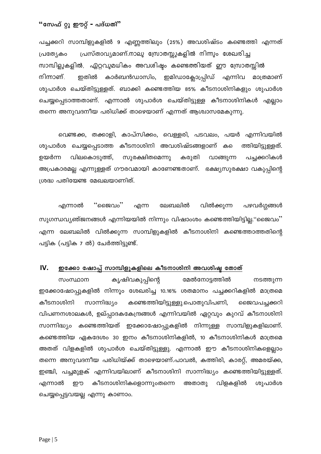പച്ചക്കറി സാമ്പിളുകളിൽ 9 എണ്ണത്തിലും (25%) അവശിഷ്ടം കണ്ടെത്തി എന്നത് പ്രസ്താവ്യമാണ്.നാലു സ്രോതസ്സുകളിൽ നിന്നും ശേഖരിച്ച പ്രത്യേകം സാമ്പിളുകളിൽ, ഏറ്റവുമധികം അവശിഷ്ടം കണ്ടെത്തിയത് ഈ സ്രോതസ്സിൽ നിന്നാണ്. ഇതിൽ കാർബൻഡാസിം, ഇമിഡാക്ലോപ്പ്രിഡ് എന്നിവ മാത്രമാണ് ശുപാർശ ചെയ്തിട്ടുള്ളത്. ബാക്കി കണ്ടെത്തിയ 85% കീടനാശിനികളും ശുപാർശ ചെയ്യപ്പെടാത്തതാണ്. എന്നാൽ ശുപാർശ ചെയ്തിട്ടുള്ള കീടനാശിനികൾ എല്ലാം തന്നെ അനുവദനീയ പരിധിക്ക് താഴെയാണ് എന്നത് ആശ്വാസമേകുന്നു.

വെണ്ടക്ക, തക്കാളി, കാപ്സിക്കം, വെള്ളരി, പടവലം, പയർ എന്നിവയിൽ ശുപാർശ ചെയ്യപ്പെടാത്ത കീടനാശിനി അവശിഷ്ടങ്ങളാണ് ക ത്തിയിട്ടുള്ളത്. പച്ചക്കറികൾ ഉയർന്ന വിലകൊടുത്ത്, സുരക്ഷിതമെന്നു കരുതി വാങ്ങുന്ന അപ്രകാരമല്ല എന്നുള്ളത് ഗൗരവമായി കാണേണ്ടതാണ്. ഭക്ഷ്യസുരക്ഷാ വകുപ്പിന്റെ ശ്രദ്ധ പതിയേണ്ട മേഖലയാണിത്.

പഴവർഗ്ഗങ്ങൾ എന്നാൽ "ജൈവം" എന്ന ലേബലിൽ വിൽക്കുന്ന സുഗന്ധവ്യഞ്ജനങ്ങൾ എന്നിയയിൽ നിന്നും വിഷാംശം കണ്ടെത്തിയിട്ടില്ല."ജൈവം" എന്ന ലേബലിൽ വിൽക്കുന്ന സാമ്പിളുകളിൽ കീടനാശിനി കണ്ടെത്താത്തതിന്റെ പട്ടിക (പട്ടിക 7 ൽ) ചേർത്തിട്ടുണ്ട്.

#### IV. ഇക്കോ ഷോപ്പ് സാമ്പിളുകളിലെ കീടനാശിനി അവശിഷ്ട തോത്

കൃഷിവകുപ്പിന്റെ സംസ്ഥാന മേൽനോട്ടത്തിൽ നടത്തുന്ന ഇക്കോഷോപ്പുകളിൽ നിന്നൂം ശേഖരിച്ച 10.16% ശതമാനം പച്ചക്കറികളിൽ മാത്രമെ കീടനാശിനി സാന്നിദ്ധ്യം കണ്ടെത്തിയിട്ടുള്ളു.പൊതുവിപണി, ജൈവപച്ചക്കറി വിപണനശാലകൾ, ഉല്പ്പാദകകേന്ദ്രങ്ങൾ എന്നിവയിൽ ഏറ്റവും കുറവ് കീടനാശിനി സാന്നിദ്ധ്യം കണ്ടെത്തിയത് ഇക്കോഷോപ്പുകളിൽ നിന്നുള്ള സാമ്പിളുകളിലാണ്. കണ്ടെത്തിയ ഏകദേശം 30 ഇനം കീടനാശിനികളിൽ, 10 കീടനാശിനികൾ മാത്രമെ അതത് വിളകളിൽ ശുപാർശ ചെയ്തിട്ടുള്ളു. എന്നാൽ ഈ കീടനാശിനികളെല്ലാം തന്നെ അനുവദനീയ പരിധിയ്ക്ക് താഴെയാണ്.പാവൽ, കത്തിരി, കാരറ്റ്, അമരയ്ക്ക, ഇഞ്ചി, പച്ചമുളക് എന്നിവയിലാണ് കീടനാശിനി സാന്നിദ്ധ്യം കണ്ടെത്തിയിട്ടുള്ളത്. കീടനാശിനികളൊന്നുംതന്നെ അതാതു വിളകളിൽ എന്നാൽ றற ശുപാർശ ചെയ്യപ്പെട്ടവയല്ല എന്നു കാണാം.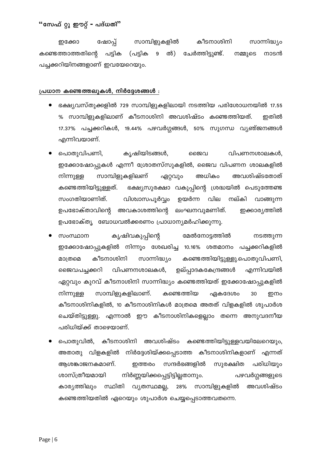കീടനാശിനി സാന്നിദ്ധ്യം ഷോപ്പ് സാമ്പിളുകളിൽ ഇക്കോ ൽ) ചേർത്തിട്ടുണ്ട്. കണ്ടെത്താത്തതിന്റെ പട്ടിക (പട്ടിക  $9$ നാടൻ നമ്മുടെ പച്ചക്കറിയിനങ്ങളാണ് ഇവയേറെയും.

#### പ്രധാന കണ്ടെത്തലുകൾ, നിർദ്ദേശങ്ങൾ :

- ഭക്ഷ്യവസ്തുക്കളിൽ 729 സാമ്പിളുകളിലായി നടത്തിയ പരിശോധനയിൽ 17.55 % സാമ്പിളുകളിലാണ് കീടനാശിനി അവശിഷ്ടം കണ്ടെത്തിയത്. ഇതിൽ 17.37% പച്ചക്കറികൾ, 19.44% പഴവർഗ്ഗങ്ങൾ, 50% സുഗന്ധ വ്യഞ്ജനങ്ങൾ എന്നിവയാണ്.
- കൃഷിയിടങ്ങൾ, പൊതുവിപണി, ങൈവ വിപണനശാലകൾ, ഇക്കോഷോപ്പുകൾ എന്നീ ശ്രോതസ്സുകളിൽ, ജൈവ വിപണന ശാലകളിൽ സാമ്പിളുകളിലണ് അധികം നിന്നുള്ള ഏറ്റവും അവശിഷ്ടതോത് ഭക്ഷ്യസുരക്ഷാ വകുപ്പിന്റെ ശ്രദ്ധയിൽ പെടുത്തേണ്ട കണ്ടെത്തിയിട്ടുള്ളത്. സംഗതിയാണിത്. വിശ്വാസപൂർവ്വം ഉയർന്ന വില നല്കി വാങ്ങുന്ന ഉപഭോക്താവിന്റെ അവകാശത്തിന്റെ ലംഘനവുമണിത്. ഇക്കാര്യത്തിൽ ഉപഭോക്ത്യ ബോധവൽക്കരണം പ്രാധാന്യമർഹിക്കുന്നു.
- സംസ്ഥാന കൃഷിവകുപ്പിന്റെ മേൽനോട്ടത്തിൽ നടത്തുന്ന ഇക്കോഷോപ്പുകളിൽ നിന്നൂം ശേഖരിച്ച 10.16% ശതമാനം പച്ചക്കറികളിൽ സാന്നിദ്ധ്യം മാത്രമെ കീടനാശിനി കണ്ടെത്തിയിട്ടുള്ളു.പൊതുവിപണി, വിപണനശാലകൾ, എന്നിവയിൽ ഉല്പ്പാദകകേന്ദ്രങ്ങൾ ജൈവപച്ചക്കറി ഏറ്റവും കുറവ് കീടനാശിനി സാന്നിദ്ധ്യം കണ്ടെത്തിയത് ഇക്കോഷോപ്പുകളിൽ സാമ്പിളുകളിലാണ്. ഏകദേശം നിന്നുള്ള കണ്ടെത്തിയ 30 ഇനം കീടനാശിനികളിൽ, 10 കീടനാശിനികൾ മാത്രമെ അതത് വിളകളിൽ ശുപാർശ ചെയ്തിട്ടുള്ളു. എന്നാൽ ഈ കീടനാശിനികളെല്ലാം തന്നെ അനുവദനീയ പരിധിയ്ക്ക് താഴെയാണ്.
- പൊതുവിൽ, കീടനാശിനി അവശിഷ്ടം കണ്ടെത്തിയിട്ടുള്ളവയിലേറെയും, അതാതു വിളകളിൽ നിർദ്ദേശിയ്ക്കപ്പെടാത്ത കീടനാശിനികളാണ് എന്നത് ആശങ്കാജനകമാണ്. സന്ദർഭങ്ങളിൽ സൂരക്ഷിത പരിധിയും ഇത്തരം ശാസ്ത്രീയമായി നിർണ്ണയിക്കപ്പെട്ടിട്ടില്ലതാനും. പഴവർഗ്ഗങ്ങളുടെ 28% സാമ്പിളുകളിൽ അവശിഷ്ടം കാര്യത്തിലും സ്ഥിതി വ്യതസ്ഥമല്ല, കണ്ടെത്തിയതിൽ ഏറെയും ശുപാർശ ചെയ്യപ്പെടാത്തവതന്നെ.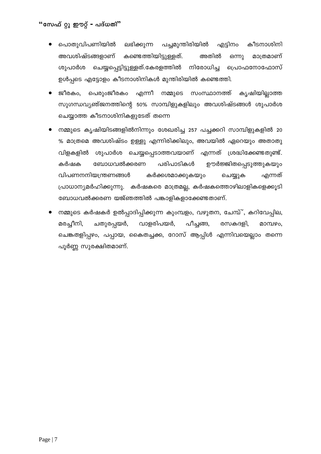- പച്ചമുന്തിരിയിൽ പൊതുവിപണിയിൽ ലഭിക്കുന്ന എട്ടിനം കീടനാശിനി അതിൽ മാത്രമാണ് അവശിഷ്ടങ്ങളാണ് കണ്ടെത്തിയിട്ടുള്ളത്. ഒന്നു ശുപാർശ ചെയ്യപ്പെട്ടിട്ടുള്ളത്.കേരളത്തിൽ നിരോധിച്ച പ്രൊഫനോഫോസ് ഉൾപ്പടെ എട്ടോളം കീടനാശിനികൾ മുന്തിരിയിൽ കണ്ടെത്തി.
- ജീരകം. പെരുംജീരകം എന്നീ നമ്മുടെ സംസ്ഥാനത്ത് കൃഷിയില്ലാത്ത സുഗന്ധവ്യഞ്ജനത്തിന്റെ 50% സാമ്പിളുകളിലും അവശിഷ്ടങ്ങൾ ശുപാർശ ചെയ്യാത്ത കീടനാശിനികളുടേത് തന്നെ
- നമ്മുടെ കൃഷിയിടങ്ങളിൽനിന്നും ശേഖരിച്ച 257 പച്ചക്കറി സാമ്പിളുകളിൽ 20 % മാത്രമെ അവശിഷ്ടം ഉള്ളു എന്നിരിക്കിലും, അവയിൽ ഏറെയും അതാതു വിളകളിൽ ശുപാർശ ചെയ്യപ്പെടാത്തവയാണ് എന്നത് ശ്രദ്ധിക്കേണ്ടതുണ്ട്. കർഷക ബോധവൽക്കരണ പരിപാടികൾ ഊർജ്ജിതപ്പെടുത്തുകയും വിപണനനിയന്ത്രണങ്ങൾ കർക്കശമാക്കുകയും ചെയ്യുക എന്നത് പ്രാധാന്യമർഹിക്കുന്നു. കർഷകരെ മാത്രമല്ല, കർഷകത്തൊഴിലാളികളെക്കൂടി ബോധവൽക്കരണ യജ്ഞത്തിൽ പങ്കാളികളാക്കേണ്ടതാണ്.
- നമ്മുടെ കർഷകർ ഉൽപ്പാദിപ്പിക്കുന്ന കുംമ്പളം, വഴുതന, ചേമ്പ്്, കറിവേപ്പില,  $\bullet$ മരച്ചീനി, വാളരിപയർ, പീച്ചങ്ങ, ചതുരപ്പയർ, രസകദളി, മാമ്പഴം. ചെങ്കതളിപ്പഴം, പപ്പായ, കൈതച്ചക്ക, റോസ് ആപ്പിൾ എന്നിവയെല്ലാം തന്നെ പൂർണ്ണ സുരക്ഷിതമാണ്.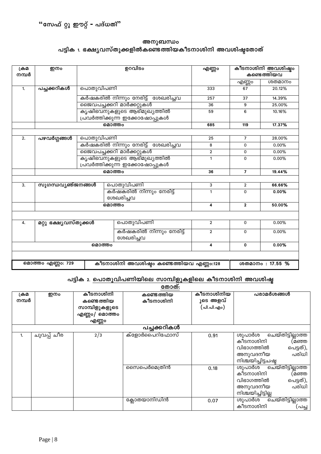### അനുബന്ധം പട്ടിക 1. ഭക്ഷ്യവസ്തുക്കളിൽകണ്ടെത്തിയകീടനാശിനി അവശിഷ്ടതോത്

| ക്രമ  | ഇനം                   |           | ഉറവിടം                                   | എണ്ണം          | കീടനാശിനി അവശിഷ്ടം<br>കണ്ടെത്തിയവ |                  |
|-------|-----------------------|-----------|------------------------------------------|----------------|-----------------------------------|------------------|
| നമ്പർ |                       |           |                                          |                |                                   |                  |
|       |                       |           |                                          |                | എണ്ണം                             | ശതമാനം           |
| 1.    | പച്ചക്കറികൾ           | പൊതുവിപണി |                                          | 333            | 67                                | 20.12%           |
|       |                       |           | കർഷകരിൽ നിന്നും നേരിട്ട്  ശേഖരിച്ചവ      | 257            | 37                                | 14.39%           |
|       |                       |           | ജൈവപച്ചക്കറി മാർക്കറ്റുകൾ                | 36             | 9                                 | 25.00%           |
|       |                       |           | കൃഷിഭവനുകളുടെ ആഭിമുഖ്യത്തിൽ              | 59             | 6                                 | 10.16%           |
|       |                       |           | പ്രവർത്തിക്കുന്ന ഇക്കോഷോപ്പുകൾ           |                |                                   |                  |
|       |                       |           | മൊത്തം                                   | 685            | 119                               | 17.37%           |
|       |                       |           |                                          |                |                                   |                  |
| 2.    | പഴവർഗ്ഗങ്ങൾ           | പൊതുവിപണി |                                          | 25             | $\overline{7}$                    | 28.00%           |
|       |                       |           | കർഷകരിൽ നിന്നും നേരിട്ട്  ശേഖരിച്ചവ      | 8              | 0                                 | 0.00%            |
|       |                       |           | ജൈവപച്ചക്കറി മാർക്കറ്റുകൾ                | $\overline{2}$ | 0                                 | 0.00%            |
|       |                       |           | കൃഷിഭവനുകളുടെ ആഭിമുഖ്യത്തിൽ              | $\mathbf{1}$   | 0                                 | 0.00%            |
|       |                       |           | പ്രവർത്തിക്കുന്ന ഇക്കോഷോപ്പുകൾ           |                |                                   |                  |
|       |                       |           | മൊത്തം                                   | 36             | $\overline{7}$                    | 19.44%           |
|       |                       |           |                                          |                |                                   |                  |
| 3.    | സുഗന്ധവ്യഞ്ജനങ്ങൾ     |           | പൊതുവിപണി                                | 3              | $\overline{2}$                    | 66.66%           |
|       |                       |           | കർഷകരിൽ നിന്നും നേരിട്ട്                 | 1              | $\mathbf 0$                       | 0.00%            |
|       |                       |           | ശേഖരിച്ചവ                                |                |                                   |                  |
|       |                       |           | മൊത്തം                                   | 4              | $\mathbf{2}$                      | 50.00%           |
|       |                       |           |                                          |                |                                   |                  |
| 4.    | മറ്റു ഭക്ഷ്യവസ്തുക്കൾ |           | പൊതുവിപണി                                | $\overline{2}$ | 0                                 | 0.00%            |
|       |                       |           | കർഷകരിൽ നിന്നും നേരിട്ട്                 | $\mathfrak{p}$ | $\Omega$                          | 0.00%            |
|       |                       | ശേഖരിച്ചവ |                                          |                |                                   |                  |
|       |                       | മൊത്തം    |                                          | 4              | 0                                 | 0.00%            |
|       |                       |           |                                          |                |                                   |                  |
|       | മൊത്തം എണ്ണം: 729     |           | കീടനാശിനി അവശിഷ്ടം കണ്ടെത്തിയവ എണ്ണം:128 |                |                                   | ശതമാനം : 17.55 % |

### പട്ടിക<sup>2</sup>. <u>പൊതുവിപണിയിലെ സാമ്പിളുകളിലെ കീടനാശിനി അവശിഷ</u>്

|               |             |                                                                    | തോത്:                   |                                      |                                                                                                                         |
|---------------|-------------|--------------------------------------------------------------------|-------------------------|--------------------------------------|-------------------------------------------------------------------------------------------------------------------------|
| ക്രമ<br>നമ്പർ | ഇനം         | കീടനാശിനി<br>കണ്ടെത്തിയ<br>സാമ്പിളുകളുടെ<br>എണ്ണം/ മൊത്തം<br>എണ്ണം | കണ്ടെത്തിയ<br>കീടനാശിനി | കീടനാശിനിയ<br>ുടെ അളവ്<br>(പി.പി.എം) | പരാമർശങ്ങൾ                                                                                                              |
|               |             |                                                                    | പച്ചക്കറികൾ             |                                      |                                                                                                                         |
| 1.            | ചുവപ്പ് ചീര | 2/3                                                                | ക്ളോർപൈറിഫോസ്           | 0.91                                 | ചെയ്തിട്ടില്ലാത്ത<br>ശുപാർശ<br>കീടനാശിനി<br>(മഞ്ഞ<br>പെട്ടത്),<br>വിഭാഗത്തിൽ<br>പരിധി<br>അനുവദനീയ<br>നിശ്ചയിച്ചിട്ടചഷ്ഠ |
|               |             |                                                                    | സൈപെർമെത്രിൻ            | 0.18                                 | ശുപാർശ ചെയ്തിട്ടില്ലാത്ത<br>കീടനാശിനി<br>(മഞ്ഞ<br>പെട്ടത്),<br>വിഭാഗത്തിൽ<br>പരിധി<br>അനുവദനീയ<br>നിശ്ചയിച്ചിട്ടില്ല    |
|               |             |                                                                    | ക്ലോതയാനിഡിൻ            | 0.07                                 | ശുപാർശ ചെയ്തിട്ടില്ലാത്ത<br>കീടനാശിനി<br>(പച്ച                                                                          |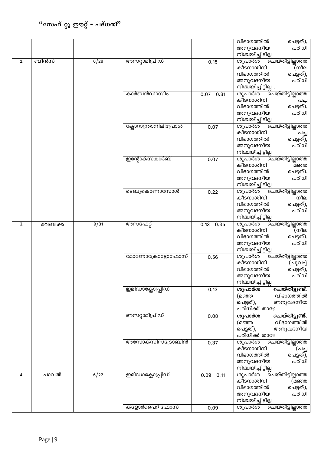|    |          |      |                       |              | വിഭാഗത്തിൽ<br>പെട്ടത്),<br>പരിധി<br>അനുവദനീയ                             |
|----|----------|------|-----------------------|--------------|--------------------------------------------------------------------------|
| 2. | ബീൻസ്    | 6/29 | അസറ്റാമിപ്രിഡ്        | 0.15         | നിശ്ചയിച്ചിട്ടില്ല<br>ശുപാർശ<br>ൎഓ്ഫയ്തിട്ടില്ലാത്ത<br>കീടനാശിനി<br>(നീല |
|    |          |      |                       |              | വിഭാഗത്തിൽ<br>പെട്ടത്),                                                  |
|    |          |      |                       |              | അനുവദനീയ<br>പരിധി                                                        |
|    |          |      | കാർബൻഡാസിം            | 0.07<br>0.31 | നിശ്ചയിച്ചിട്ടില്ല .<br>ശുപാർശ<br>ചെയ്തിട്ടില്ലാത്ത                      |
|    |          |      |                       |              | കീടനാശിനി<br>പച്ച                                                        |
|    |          |      |                       |              | വിഭാഗത്തിൽ<br>പെട്ടത്),                                                  |
|    |          |      |                       |              | പരിധി<br>അനുവദനീയ<br>നിശ്ചയിച്ചിട്ടില്ല.                                 |
|    |          |      | ക്ലോറാന്ത്രാനിലിപ്രോൾ | 0.07         | ശുപാർശ<br>ൎൈയ്തിട്ടില്ലാത്ത                                              |
|    |          |      |                       |              | കീടനാശിനി<br>പച്ച                                                        |
|    |          |      |                       |              | വിഭാഗത്തിൽ<br>പെട്ടത്),<br>പരിധി                                         |
|    |          |      |                       |              | അനുവദനീയ<br>നിശ്ചയിച്ചിട്ടില്ല                                           |
|    |          |      | ഇന്റോക്സകാർബ്         | 0.07         | ശുപാർശ<br>ചെയ്തിട്ടില്ലാത്ത                                              |
|    |          |      |                       |              | കീടനാശിനി<br>മഞ്ഞ                                                        |
|    |          |      |                       |              | വിഭാഗത്തിൽ<br>പെട്ടത്),<br>പരിധി<br>അനുവദനീയ                             |
|    |          |      |                       |              | നിശ്ചയിച്ചിട്ടില്ല                                                       |
|    |          |      | ടെബുകൊണാസോൾ           | 0.22         | ശുപാർശ<br>ചെയ്തിട്ടില്ലാത്ത                                              |
|    |          |      |                       |              | കീടനാശിനി<br>നീല<br>വിഭാഗത്തിൽ<br>പെട്ടത്),                              |
|    |          |      |                       |              | പരിധി<br>അനുവദനീയ                                                        |
|    |          |      |                       |              | നിശ്ചയിച്ചിട്ടില്ല                                                       |
| 3. | വെണ്ടക്ക | 9/31 | അസഫേറ്റ്              | 0.13<br>0.35 | ശുപാർശ<br>ചെയ്തിട്ടില്ലാത്ത<br>കീടനാശിനി<br>(നീല                         |
|    |          |      |                       |              | വിഭാഗത്തിൽ<br>പെട്ടത്),                                                  |
|    |          |      |                       |              | പരിധി<br>അനുവദനീയ                                                        |
|    |          |      |                       |              | നിശ്ചയിച്ചിട്ടില്ല                                                       |
|    |          |      | മോണോക്രോട്ടോഫോസ്      | 0.56         | ശുപാർശ<br>ചെയ്തിട്ടില്ലാത്ത<br>കീടനാശിനി<br>(ചുവപ്പ്                     |
|    |          |      |                       |              | വിഭാഗത്തിൽ<br>പെട്ടത്),                                                  |
|    |          |      |                       |              | പരിധി<br>അനുവദനീയ                                                        |
|    |          |      | ഇമിഡാക്ലോപ്പ്രിഡ്     | 0.13         | നിശ്ചയിച്ചിട്ടില്ല<br>ചെയ്തിട്ടുണ്ട്.<br>ശുപാർശ                          |
|    |          |      |                       |              | വിഭാഗത്തിൽ<br>(മഞ്ഞ                                                      |
|    |          |      |                       |              | പെട്ടത്),<br>അനുവദനീയ                                                    |
|    |          |      |                       |              | പരിധിക്ക് താഴേ                                                           |
|    |          |      | അസറ്റാമിപ്രിഡ്        | 0.08         | ചെയ്തിട്ടുണ്ട്.<br>ശുപാർശ<br>വിഭാഗത്തിൽ<br>(മഞ്ഞ                         |
|    |          |      |                       |              | പെട്ടത്),<br>അനുവദനീയ                                                    |
|    |          |      |                       |              | പരിധിക്ക് താഴേ                                                           |
|    |          |      | അസോക്സിസ്ട്രോബിൻ      | 0.37         | ശുപാർശ<br>ചെയ്തിട്ടില്ലാത്ത<br>കീടനാശിനി<br>(പച്ച                        |
|    |          |      |                       |              | വിഭാഗത്തിൽ<br>പെട്ടത്),                                                  |
|    |          |      |                       |              | അനുവദനീയ<br>പരിധി                                                        |
|    |          |      |                       |              | നിശ്ചയിച്ചിട്ടില്ല                                                       |
| 4. | പാവൽ     | 6/22 | ഇമിഡാക്ലോപ്പ്രിഡ്     | 0.09<br>0.11 | ശുപാർശ<br><u>പെയ്തിട്ടില്ലാത്ത</u><br>കീടനാശിനി<br>(മഞ്ഞ                 |
|    |          |      |                       |              | വിഭാഗത്തിൽ<br>പെട്ടത്),                                                  |
|    |          |      |                       |              | പരിധി<br>അനുവദനീയ                                                        |
|    |          |      |                       |              | നിശ്ചയിച്ചിട്ടില്ല                                                       |
|    |          |      | ക്ളോർപൈറിഫോസ്         | 0.09         | ശുപാർശ<br>ചെയ്തിട്ടില്ലാത്ത                                              |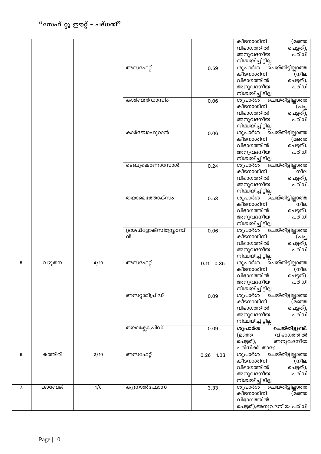|    |         |               |                        |              | കീടനാശിനി<br>(മഞ്ഞ                     |
|----|---------|---------------|------------------------|--------------|----------------------------------------|
|    |         |               |                        |              | വിഭാഗത്തിൽ<br>പെട്ടത്),                |
|    |         |               |                        |              | പരിധി<br>അനുവദനീയ                      |
|    |         |               |                        |              | നിശ്ചയിച്ചിട്ടില്ല                     |
|    |         |               | അസഫേറ്റ്               | 0.59         | ശുപാർശ<br>ചെയ്തിട്ടില്ലാത്ത            |
|    |         |               |                        |              | കീടനാശിനി<br>(നീല                      |
|    |         |               |                        |              | വിഭാഗത്തിൽ<br>പെട്ടത്),                |
|    |         |               |                        |              | അനുവദനീയ<br>പരിധി                      |
|    |         |               |                        |              | നിശ്ചയിച്ചിട്ടില്ല                     |
|    |         |               | കാർബൻഡാസിം             | 0.06         | ശുപാർശ<br>ചെയ്തിട്ടില്ലാത്ത            |
|    |         |               |                        |              | കീടനാശിനി                              |
|    |         |               |                        |              | (പച്ച<br>വിഭാഗത്തിൽ                    |
|    |         |               |                        |              | പെട്ടത്),                              |
|    |         |               |                        |              | പരിധി<br>അനുവദനീയ                      |
|    |         |               |                        |              | നിശ്ചയിച്ചിട്ടില്ല                     |
|    |         |               | കാർബോഫുറാൻ             | 0.06         | ശുപാർശ<br><u>ചെയ്തിട്ടില്ലാത്ത</u>     |
|    |         |               |                        |              | കീടനാശിനി<br>(മഞ്ഞ                     |
|    |         |               |                        |              | വിഭാഗത്തിൽ<br>പെട്ടത്),                |
|    |         |               |                        |              | പരിധി<br>അനുവദനീയ                      |
|    |         |               |                        |              | നിശ്ചയിച്ചിട്ടില്ല                     |
|    |         |               | ടെബുകൊണാസോൾ            | 0.24         | ശുപാർശ<br>ചെയ്തിട്ടില്ലാത്ത            |
|    |         |               |                        |              | കീടനാശിനി<br>്നീല                      |
|    |         |               |                        |              | വിഭാഗത്തിൽ<br>പെട്ടത്),                |
|    |         |               |                        |              | പരിധി<br>അനുവദനീയ                      |
|    |         |               |                        |              | നിശ്ചയിച്ചിട്ടില്ല                     |
|    |         |               | തയാമെത്തോക്സം          | 0.53         | ശുപാർശ<br>ചെയ്തിട്ടില്ലാത്ത            |
|    |         |               |                        |              | കീടനാശിനി<br>്നീല                      |
|    |         |               |                        |              | വിഭാഗത്തിൽ<br>പെട്ടത്),                |
|    |         |               |                        |              | പരിധി<br>അനുവദനീയ                      |
|    |         |               |                        |              | നിശ്ചയിച്ചിട്ടില്ല                     |
|    |         |               | ട്രയഫ്ളോക്സിസ്റ്റ്രോബി | 0.06         | ശുപാർശ<br>ചെയ്തിട്ടില്ലാത്ത            |
|    |         |               | ൻ                      |              | കീടനാശിനി<br>്(പച്ച                    |
|    |         |               |                        |              | വിഭാഗത്തിൽ<br>പെട്ടത്),                |
|    |         |               |                        |              | പരിധി<br>അനുവദനീയ                      |
|    |         |               |                        |              | നിശ്ചയിച്ചിട്ടില്ല                     |
| 5. |         | 4/19          | അസഫേറ്റ്               |              | ശുപാർശ                                 |
|    | വഴുതന   |               |                        | 0.35<br>0.11 | ചെയ്തിട്ടില്ലാത്ത<br>കീടനാശിനി<br>(നീല |
|    |         |               |                        |              | വിഭാഗത്തിൽ                             |
|    |         |               |                        |              | പെട്ടത്),                              |
|    |         |               |                        |              | അനുവദനീയ<br>പരിധി                      |
|    |         |               |                        |              | നിശ്ചയിച്ചിട്ടില്ല                     |
|    |         |               | അസറ്റാമിപ്രിഡ്         | 0.09         | ശുപാർശ<br>ചെയ്തിട്ടില്ലാത്ത            |
|    |         |               |                        |              | കീടനാശിനി<br>(മഞ്ഞ                     |
|    |         |               |                        |              | വിഭാഗത്തിൽ<br>പെട്ടത്),                |
|    |         |               |                        |              | അനുവദനീയ<br>പരിധി                      |
|    |         |               |                        |              | നിശ്ചയിച്ചിട്ടില്ല                     |
|    |         |               | തയാക്ലോപ്രിഡ്          | 0.09         | ചെയ്തിട്ടുണ്ട്.<br>ശുപാർശ              |
|    |         |               |                        |              | വിഭാഗത്തിൽ<br>(മഞ്ഞ                    |
|    |         |               |                        |              | പെട്ടത്),<br>അനുവദനീയ                  |
|    |         |               |                        |              | പരിധിക്ക് താഴേ                         |
| 6. | കത്തിരി | $\sqrt{2/10}$ | അസഫേറ്റ്               | 0.26<br>1.03 | ശുപാർശ<br><u>ചെയ്തിട്ടില്ലാ</u> ത്ത    |
|    |         |               |                        |              | കീടനാശിനി<br>(നീല                      |
|    |         |               |                        |              | വിഭാഗത്തിൽ<br>പെട്ടത്),                |
|    |         |               |                        |              | പരിധി<br>അനുവദനീയ                      |
|    |         |               |                        |              | നിശ്ചയിച്ചിട്ടില്ല                     |
| 7. | കാബേജ്  | 1/6           | ക്യുനാൽഫോസ്            | 3.33         | ശുപാർശ<br>ൎൈയ്തിട്ടില്ലാത്ത            |
|    |         |               |                        |              | കീടനാശിനി<br>(മഞ്ഞ                     |
|    |         |               |                        |              | വിഭാഗത്തിൽ                             |
|    |         |               |                        |              |                                        |
|    |         |               |                        |              | പെട്ടത്),അനുവദനീയ പരിധി                |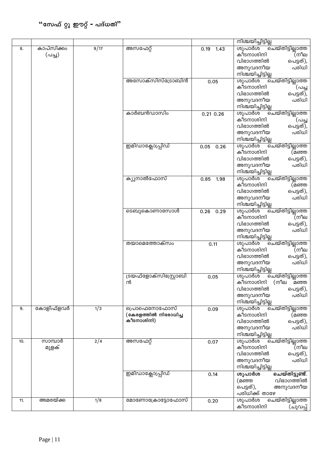|     |            |                  |                        |              | നിശ്ചയിച്ചിട്ടില്ല                                |
|-----|------------|------------------|------------------------|--------------|---------------------------------------------------|
| 8.  | കാപ്സിക്കം | 9/17             | അസഫേറ്റ്               | 0.19<br>1.43 | ശുപാർശ<br>ൎഓ്ചയ്തിട്ടില്ലാത്ത                     |
|     | (പച്ച)     |                  |                        |              | കീടനാശിനി<br>(നീല                                 |
|     |            |                  |                        |              | വിഭാഗത്തിൽ<br>പെട്ടത്),                           |
|     |            |                  |                        |              | പരിധി<br>അനുവദനീയ                                 |
|     |            |                  |                        |              | നിശ്ചയിച്ചിട്ടില്ല                                |
|     |            |                  | അസോക്സിസ്ട്രോബിൻ       | 0.05         | ശുപാർശ<br>ചെയ്തിട്ടില്ലാത്ത                       |
|     |            |                  |                        |              | കീടനാശിനി<br>(പച്ച                                |
|     |            |                  |                        |              | വിഭാഗത്തിൽ<br>പെട്ടത്),                           |
|     |            |                  |                        |              | പരിധി<br>അനുവദനീയ                                 |
|     |            |                  | കാർബൻഡാസിം             |              | നിശ്ചയിച്ചിട്ടില്ല<br>ശുപാർശ                      |
|     |            |                  |                        | 0.21 0.26    | ചെയ്തിട്ടില്ലാത്ത<br>കീടനാശിനി<br>(പച്ച           |
|     |            |                  |                        |              | വിഭാഗത്തിൽ<br>പെട്ടത്),                           |
|     |            |                  |                        |              | പരിധി<br>അനുവദനീയ                                 |
|     |            |                  |                        |              | നിശ്ചയിച്ചിട്ടില്ല                                |
|     |            |                  | ഇമിഡാക്ലോപ്പ്രിഡ്      | 0.05<br>0.26 | ശുപാർശ<br>ചെയ്തിട്ടില്ലാത്ത                       |
|     |            |                  |                        |              | കീടനാശിനി<br>(മഞ്ഞ                                |
|     |            |                  |                        |              | വിഭാഗത്തിൽ<br>പെട്ടത്),                           |
|     |            |                  |                        |              | പരിധി<br>അനുവദനീയ                                 |
|     |            |                  |                        |              | നിശ്ചയിച്ചിട്ടില്ല                                |
|     |            |                  | ക്യുനാൽഫോസ്            | 0.85<br>1.98 | ശുപാർശ<br>ചെയ്തിട്ടില്ലാത്ത                       |
|     |            |                  |                        |              | കീടനാശിനി<br>(മഞ്ഞ                                |
|     |            |                  |                        |              | വിഭാഗത്തിൽ<br>പെട്ടത്),                           |
|     |            |                  |                        |              | പരിധി<br>അനുവദനീയ                                 |
|     |            |                  | ടെബുകൊണാസോൾ            |              | നിശ്ചയിച്ചിട്ടില്ല<br>ശുപാർശ<br>ചെയ്തിട്ടില്ലാത്ത |
|     |            |                  |                        | 0.26<br>0.29 | കീടനാശിനി<br>(നീല                                 |
|     |            |                  |                        |              | വിഭാഗത്തിൽ<br>പെട്ടത്),                           |
|     |            |                  |                        |              | പരിധി<br>അനുവദനീയ                                 |
|     |            |                  |                        |              | നിശ്ചയിച്ചിട്ടില്ല                                |
|     |            |                  | തയാമെത്തോക്സം          | 0.11         | ശുപാർശ<br>ചെയ്തിട്ടില്ലാത്ത                       |
|     |            |                  |                        |              | (നീല<br>കീടനാശിനി                                 |
|     |            |                  |                        |              | വിഭാഗത്തിൽ<br>പെട്ടത്),                           |
|     |            |                  |                        |              | പരിധി<br>അനുവദനീയ                                 |
|     |            |                  |                        |              | നിശ്ചയിച്ചിട്ടില്ല                                |
|     |            |                  | ട്രയഫ്ളോക്സിസ്റ്റ്രോബി | 0.05         | ചെയ്തിട്ടില്ലാത്ത<br>ശുപാർശ                       |
|     |            |                  | ൻ                      |              | കീടനാശിനി<br>(നീല<br>മഞ്ഞ                         |
|     |            |                  |                        |              | വിഭാഗത്തിൽ<br>പെട്ടത്),<br>അനുവദനീയ<br>പരിധി      |
|     |            |                  |                        |              | നിശ്ചയിച്ചിട്ടില്ല                                |
| 9.  | കോളിഫ്ളവർ  | $\overline{1/3}$ | പ്രൊഫെനോഫോസ്           | 0.09         | ശുപാർശ<br>ചെയ്തിട്ടില്ലാത്ത                       |
|     |            |                  | (കേരളത്തിൽ നിരോധിച്ച   |              | കീടനാശിനി<br>(മഞ്ഞ                                |
|     |            |                  | കീടനാശിനി)             |              | വിഭാഗത്തിൽ<br>പെട്ടത്),                           |
|     |            |                  |                        |              | അനുവദനീയ<br>പരിധി                                 |
|     |            |                  |                        |              | നിശ്ചയിച്ചിട്ടില്ല                                |
| 10. | സാമ്പാർ    | 2/4              | അസഫേറ്റ്               | 0.07         | ശുപാർശ<br>ചെയ്തിട്ടില്ലാത്ത                       |
|     | മുളക്      |                  |                        |              | (നീല<br>കീടനാശിനി                                 |
|     |            |                  |                        |              | വിഭാഗത്തിൽ<br>പെട്ടത്),                           |
|     |            |                  |                        |              | പരിധി<br>അനുവദനീയ                                 |
|     |            |                  |                        |              | നിശ്ചയിച്ചിട്ടില്ല                                |
|     |            |                  | ഇമിഡാക്ലോപ്പ്രിഡ്      | 0.14         | ചെയ്തിട്ടുണ്ട്.<br>ശുപാർശ<br>വിഭാഗത്തിൽ           |
|     |            |                  |                        |              | (മഞ്ഞ<br>പെട്ടത്),<br>അനുവദനീയ                    |
|     |            |                  |                        |              | പരിധിക്ക് താഴേ                                    |
| 11. | അമരയ്ക്ക   | 1/8              | മോണോക്രോട്ടോഫോസ്       | 0.20         | ശുപാർശ<br>ചെയ്തിട്ടില്ലാത്ത                       |
|     |            |                  |                        |              | കീടനാശിനി<br>(ചുവപ്പ്                             |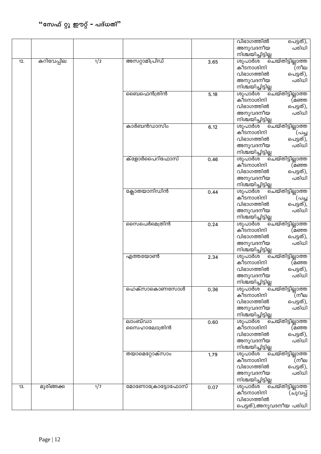|     |            |     |                  |      | വിഭാഗത്തിൽ<br>പെട്ടത്),               |
|-----|------------|-----|------------------|------|---------------------------------------|
|     |            |     |                  |      | പരിധി<br>അനുവദനീയ                     |
|     |            |     |                  |      | നിശ്ചയിച്ചിട്ടില്ല                    |
| 12. | കറിവേപ്പില | 1/2 | അസറ്റാമിപ്രിഡ്   | 3.65 | ശുപാർശ<br>ചെയ്തിട്ടില്ലാത്ത           |
|     |            |     |                  |      | കീടനാശിനി<br>(നീല                     |
|     |            |     |                  |      | വിഭാഗത്തിൽ<br>പെട്ടത്),               |
|     |            |     |                  |      | അനുവദനീയ<br>പരിധി                     |
|     |            |     |                  |      | നിശ്ചയിച്ചിട്ടില്ല                    |
|     |            |     | മൈഫെൻത്രിൻ       | 5.18 | ശുപാർശ<br><u>പെയ്തിട്ടില്ലാ</u> ത്ത   |
|     |            |     |                  |      | കീടനാശിനി<br>(മഞ്ഞ                    |
|     |            |     |                  |      | വിഭാഗത്തിൽ<br>പെട്ടത്),               |
|     |            |     |                  |      | അനുവദനീയ<br>പരിധി                     |
|     |            |     |                  |      | നിശ്ചയിച്ചിട്ടില്ല                    |
|     |            |     | കാർബൻഡാസിം       |      | ശുപാർശ<br>ചെയ്തിട്ടില്ലാത്ത           |
|     |            |     |                  | 6.12 | കീടനാശിനി<br>(പച്ച                    |
|     |            |     |                  |      | വിഭാഗത്തിൽ<br>പെട്ടത്),               |
|     |            |     |                  |      | അനുവദനീയ<br>പരിധി                     |
|     |            |     |                  |      | നിശ്ചയിച്ചിട്ടില്ല                    |
|     |            |     | ക്ളോർപൈറിഫോസ്    |      | ശുപാർശ                                |
|     |            |     |                  | 0.46 | <u>ചെയ്തിട്ടില്ലാത്ത</u><br>കീടനാശിനി |
|     |            |     |                  |      | (മഞ്ഞ<br>വിഭാഗത്തിൽ                   |
|     |            |     |                  |      | പെട്ടത്),<br>പരിധി                    |
|     |            |     |                  |      | അനുവദനീയ<br>നിശ്ചയിച്ചിട്ടില്ല        |
|     |            |     |                  |      |                                       |
|     |            |     | ക്ലോതയാനിഡിൻ     | 0.44 | ശുപാർശ<br>ചെയ്തിട്ടില്ലാത്ത           |
|     |            |     |                  |      | കീടനാശിനി<br>(പച്ച                    |
|     |            |     |                  |      | വിഭാഗത്തിൽ<br>പെട്ടത്),               |
|     |            |     |                  |      | പരിധി<br>അനുവദനീയ                     |
|     |            |     |                  |      | നിശ്ചയിച്ചിട്ടില്ല                    |
|     |            |     | സൈപെർമെത്രിൻ     | 0.24 | ശുപാർശ<br>ചെയ്തിട്ടില്ലാത്ത           |
|     |            |     |                  |      | കീടനാശിനി<br>(മഞ്ഞ                    |
|     |            |     |                  |      | വിഭാഗത്തിൽ<br>പെട്ടത്),               |
|     |            |     |                  |      | പരിധി<br>അനുവദനീയ                     |
|     |            |     |                  |      | നിശ്ചയിച്ചിട്ടില്ല                    |
|     |            |     | എത്തയോൺ          | 2.34 | ശുപാർശ<br>ചെയ്തിട്ടില്ലാത്ത           |
|     |            |     |                  |      | കീടനാശിനി<br>(മഞ്ഞ                    |
|     |            |     |                  |      | വിഭാഗത്തിൽ<br>പെട്ടത്),               |
|     |            |     |                  |      | പരിധി<br>അനുവദനീയ                     |
|     |            |     |                  |      | നിശ്ചയിച്ചിട്ടില്ല                    |
|     |            |     | ഹെക്സാകൊണസോൾ     | 0.36 | ശുപാർശ<br>ചെയ്തിട്ടില്ലാത്ത           |
|     |            |     |                  |      | കീടനാശിനി<br>(നീല                     |
|     |            |     |                  |      | വിഭാഗത്തിൽ<br>പെട്ടത്),               |
|     |            |     |                  |      | പരിധി<br>അനുവദനീയ                     |
|     |            |     |                  |      | നിശ്ചയിച്ചിട്ടില്ല                    |
|     |            |     | ലാംബ്ഡാ          | 0.60 | ശുപാർശ<br>ചെയ്തിട്ടില്ലാത്ത           |
|     |            |     | സൈഹാലോത്രിൻ      |      | കീടനാശിനി<br>(മഞ്ഞ                    |
|     |            |     |                  |      | വിഭാഗത്തിൽ<br>പെട്ടത്),               |
|     |            |     |                  |      | പരിധി<br>അനുവദനീയ                     |
|     |            |     |                  |      | നിശ്ചയിച്ചിട്ടില്ല                    |
|     |            |     | തയാമെറ്റോക്സാം   | 1.79 | ശുപാർശ<br>ചെയ്തിട്ടില്ലാത്ത           |
|     |            |     |                  |      | കീടനാശിനി<br>(നീല                     |
|     |            |     |                  |      | വിഭാഗത്തിൽ<br>പെട്ടത്),               |
|     |            |     |                  |      | പരിധി<br>അനുവദനീയ                     |
|     |            |     |                  |      | നിശ്ചയിച്ചിട്ടില്ല                    |
| 13. | മുരിങ്ങക്ക | 1/7 | മോണോക്രോട്ടോഫോസ് | 0.07 | ശുപാർശ<br>ചെയ്തിട്ടില്ലാത്ത           |
|     |            |     |                  |      | കീടനാശിനി<br>(ചുവപ്പ്                 |
|     |            |     |                  |      | വിഭാഗത്തിൽ                            |
|     |            |     |                  |      | പെട്ടത്),അനുവദനീയ പരിധി               |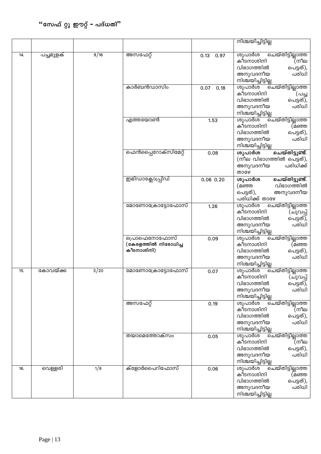|     |           |      |                                                    |               | നിശ്ചയിച്ചിട്ടില്ല                                                                                                                |
|-----|-----------|------|----------------------------------------------------|---------------|-----------------------------------------------------------------------------------------------------------------------------------|
|     |           |      |                                                    |               |                                                                                                                                   |
| 14. | പച്ചമുളക് | 9/16 | അസഫേറ്റ്                                           | 0.13<br>0.97  | ശുപാർശ<br>ചെയ്തിട്ടില്ലാത്ത<br>കീടനാശിനി<br>(നീല<br>വിഭാഗത്തിൽ<br>പെട്ടത്),<br>പരിധി<br>അനുവദനീയ<br>നിശ്ചയിച്ചിട്ടില്ല            |
|     |           |      | കാർബൻഡാസിം                                         | 0.07<br>0.18  | ശുപാർശ<br>ചെയ്തിട്ടില്ലാത്ത<br>കീടനാശിനി<br>(പച്ച<br>പെട്ടത്),<br>വിഭാഗത്തിൽ<br>പരിധി<br>അനുവദനീയ<br>നിശ്ചയിച്ചിട്ടില്ല           |
|     |           |      | എത്തയോൺ                                            | 1.53          | ശുപാർശ<br><u>പെയ്തിട്ടില്ലാ</u> ത്ത<br>കീടനാശിനി<br>(മഞ്ഞ<br>വിഭാഗത്തിൽ<br>പെട്ടത്),<br>അനുവദനീയ<br>പരിധി<br>നിശ്ചയിച്ചിട്ടില്ല   |
|     |           |      | ഫെൻപ്പൈറോക്സിമേറ്റ്                                | 0.08          | ചെയ്തിട്ടുണ്ട്.<br>ശുപാർശ<br>(നീല വിഭാഗത്തിൽ പെട്ടത്),<br>പരിധിക്ക്<br>അനുവദനീയ<br>താഴേ                                           |
|     |           |      | ഇമിഡാക്ലോപ്പ്രിഡ്                                  | $0.06$ $0.20$ | ശുപാർശ<br>ചെയ്തിട്ടുണ്ട്.<br>വിഭാഗത്തിൽ<br>(മഞ്ഞ<br>അനുവദനീയ<br>പെട്ടത്),<br>പരിധിക്ക് താഴേ                                       |
|     |           |      | മോണോക്രോട്ടോഫോസ്                                   | 1.26          | ശുപാർശ<br><u>ചെയ്തിട്ടില്ലാത്ത</u><br>കീടനാശിനി<br>(ചുവപ്പ്<br>വിഭാഗത്തിൽ<br>പെട്ടത്),<br>പരിധി<br>അനുവദനീയ<br>നിശ്ചയിച്ചിട്ടില്ല |
|     |           |      | പ്രൊഫെനോഫോസ്<br>(കേരളത്തിൽ നിരോധിച്ച<br>കീടനാശിനി) | 0.09          | ശുപാർശ<br>ചെയ്തിട്ടില്ലാത്ത<br>കീടനാശിനി<br>(മഞ്ഞ<br>വിഭാഗത്തിൽ<br>പെട്ടത്),<br>പരിധി<br>അനുവദനീയ<br>നിശ്ചയിച്ചിട്ടില്ല           |
| 15. | കോവയ്ക്ക  | 3/20 | മോണോക്രോട്ടോഫോസ്                                   | 0.07          | ശുപാർശ<br>ചെയ്തിട്ടില്ലാത്ത<br>കീടനാശിനി<br>(ചുവപ്പ്<br>വിഭാഗത്തിൽ<br>പെട്ടത്),<br>അനുവദനീയ<br>പരിധി<br>നിശ്ചയിച്ചിട്ടില്ല        |
|     |           |      | അസഫേറ്റ്                                           | 0.19          | ശുപാർശ<br>ചെയ്തിട്ടില്ലാത്ത<br>കീടനാശിനി<br>(നീല<br>വിഭാഗത്തിൽ<br>പെട്ടത്),<br>പരിധി<br>അനുവദനീയ<br>നിശ്ചയിച്ചിട്ടില്ല            |
|     |           |      | തയാമെത്തോക്സം                                      | 0.05          | ശുപാർശ<br><u>ചെയ്തിട്ടില്ലാത്ത</u><br>കീടനാശിനി<br>(നീല<br>വിഭാഗത്തിൽ<br>പെട്ടത്),<br>അനുവദനീയ<br>പരിധി<br>നിശ്ചയിച്ചിട്ടില്ല     |
| 16. | വെള്ളരി   | 1/8  | ക്ളോർപൈറിഫോസ്                                      | 0.06          | ശുപാർശ<br><u>ചെയ്തിട്ടില്ലാത്ത</u><br>കീടനാശിനി<br>(മഞ്ഞ<br>വിഭാഗത്തിൽ<br>പെട്ടത്),<br>പരിധി<br>അനുവദനീയ<br>നിശ്ചയിച്ചിട്ടില്ല    |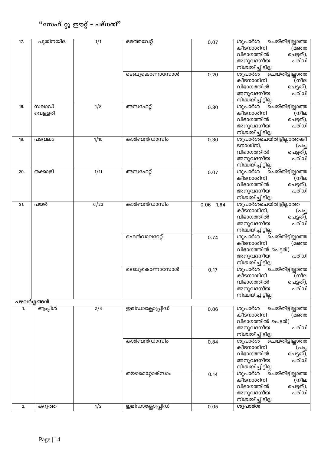| 17. | പുതിനയില    | 1/1  | ഒമത്തവേറ്റ്       | 0.07         | ശുപാർശ<br>ചെയ്തിട്ടില്ലാത്ത                      |
|-----|-------------|------|-------------------|--------------|--------------------------------------------------|
|     |             |      |                   |              | കീടനാശിനി<br>(മഞ്ഞ                               |
|     |             |      |                   |              | വിഭാഗത്തിൽ<br>പെട്ടത്),                          |
|     |             |      |                   |              | പരിധി<br>അനുവദനീയ                                |
|     |             |      |                   |              | നിശ്ചയിച്ചിട്ടില്ല                               |
|     |             |      | ടെബുകൊണാസോൾ       | 0.20         | ശുപാർശ<br>ചെയ്തിട്ടില്ലാത്ത<br>കീടനാശിനി         |
|     |             |      |                   |              | (നീല<br>വിഭാഗത്തിൽ                               |
|     |             |      |                   |              | പെട്ടത്),<br>അനുവദനീയ<br>പരിധി                   |
|     |             |      |                   |              | നിശ്ചയിച്ചിട്ടില്ല                               |
| 18. | സലാഡ്       | 1/8  | അസഫേറ്റ്          | 0.30         | ശുപാർശ<br>ചെയ്തിട്ടില്ലാത്ത                      |
|     | വെള്ളരി     |      |                   |              | കീടനാശിനി<br>(നീല                                |
|     |             |      |                   |              | വിഭാഗത്തിൽ<br>പെട്ടത്),                          |
|     |             |      |                   |              | അനുവദനീയ<br>പരിധി                                |
|     |             |      |                   |              | നിശ്ചയിച്ചിട്ടില്ല                               |
| 19. | പടവലം       | 1/10 | കാർബൻഡാസിം        | 0.30         | ശുപാർശചെയ്തിട്ടില്ലാത്തകീ                        |
|     |             |      |                   |              | ടനാശിനി,<br>(പച്ച                                |
|     |             |      |                   |              | വിഭാഗത്തിൽ<br>പെട്ടത്),                          |
|     |             |      |                   |              | പരിധി<br>അനുവദനീയ                                |
|     |             |      |                   |              | നിശ്ചയിച്ചിട്ടില്ല                               |
| 20. | തക്കാളി     | 1/11 | അസഫേറ്റ്          | 0.07         | ശുപാർശ<br>ചെയ്തിട്ടില്ലാത്ത<br>കീടനാശിനി<br>(നീല |
|     |             |      |                   |              | വിഭാഗത്തിൽ<br>പെട്ടത്),                          |
|     |             |      |                   |              | പരിധി<br>അനുവദനീയ                                |
|     |             |      |                   |              | നിശ്ചയിച്ചിട്ടില്ല                               |
| 21. | പയർ         | 6/23 | കാർബൻഡാസിം        | 0.06<br>1.64 | ശുപാർശചെയ്തിട്ടില്ലാത്ത                          |
|     |             |      |                   |              | കീടനാശിനി,<br>(പച്ച                              |
|     |             |      |                   |              | വിഭാഗത്തിൽ<br>പെട്ടത്),                          |
|     |             |      |                   |              | പരിധി<br>അനുവദനീയ                                |
|     |             |      |                   |              | നിശ്ചയിച്ചിട്ടില്ല                               |
|     |             |      | ഫെൻവാലറേറ്റ്      | 0.74         | ശുപാർശ<br>ചെയ്തിട്ടില്ലാത്ത                      |
|     |             |      |                   |              | കീടനാശിനി<br>(മഞ്ഞ                               |
|     |             |      |                   |              | വിഭാഗത്തിൽ പെട്ടത്)<br>പരിധി                     |
|     |             |      |                   |              | അനുവദനീയ<br>നിശ്ചയിച്ചിട്ടില്ല                   |
|     |             |      | ടെബുകൊണാസോൾ       | 0.17         | ശുപാർശ<br>ചെയ്തിട്ടില്ലാത്ത                      |
|     |             |      |                   |              | (്നീല<br>കീടനാശിനി                               |
|     |             |      |                   |              | വിഭാഗത്തിൽ<br>പെട്ടത്),                          |
|     |             |      |                   |              | പരിധി<br>അനുവദനീയ                                |
|     |             |      |                   |              | നിശ്ചയിച്ചിട്ടില്ല                               |
|     | പഴവർഗ്ഗങ്ങൾ |      |                   |              |                                                  |
| 1.  | ആപ്പിൾ      | 2/4  | ഇമിഡാക്ലോപ്പ്രിഡ് | 0.06         | ശുപാർശ<br>ചെയ്തിട്ടില്ലാത്ത                      |
|     |             |      |                   |              | കീടനാശിനി<br>(മഞ്ഞ                               |
|     |             |      |                   |              | വിഭാഗത്തിൽ പെട്ടത്)<br>അനുവദനീയ<br>പരിധി         |
|     |             |      |                   |              | നിശ്ചയിച്ചിട്ടില്ല                               |
|     |             |      | കാർബൻഡാസിം        | 0.84         | ശുപാർശ<br><u>ചെയ്തിട്ടില്ലാത്ത</u>               |
|     |             |      |                   |              | കീടനാശിനി<br>(പച്ച                               |
|     |             |      |                   |              | വിഭാഗത്തിൽ<br>പെട്ടത്),                          |
|     |             |      |                   |              | അനുവദനീയ<br>പരിധി                                |
|     |             |      |                   |              | നിശ്ചയിച്ചിട്ടില്ല                               |
|     |             |      | തയാമെറ്റോക്സാം    | 0.14         | ശുപാർശ<br>ൎഓ്ഫയ്തിട്ടില്ലാത്ത                    |
|     |             |      |                   |              | കീടനാശിനി<br>(നീല                                |
|     |             |      |                   |              | വിഭാഗത്തിൽ<br>പെട്ടത്),                          |
|     |             |      |                   |              | അനുവദനീയ<br>പരിധി<br>നിശ്ചയിച്ചിട്ടില്ല          |
| 2.  | കറുത്ത      | 1/2  | ഇമിഡാക്ലോപ്പ്രിഡ് | 0.05         | ശുപാർശ                                           |
|     |             |      |                   |              |                                                  |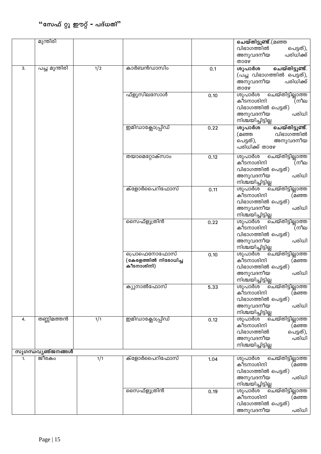|    | മുന്തിരി                 |                  |                                                    |      | ചെയ്തിട്ടുണ്ട്.(മഞ്ഞ                                                                                                       |
|----|--------------------------|------------------|----------------------------------------------------|------|----------------------------------------------------------------------------------------------------------------------------|
|    |                          |                  |                                                    |      | വിഭാഗത്തിൽ<br>പെട്ടത്),<br>പരിധിക്ക്<br>അനുവദനീയ<br>താഴേ                                                                   |
| 3. | പച്ച മുന്തിരി            | $\overline{1/2}$ | കാർബൻഡാസിം                                         | 0.1  | ശുപാർശ<br>ചെയ്തിട്ടുണ്ട്.<br>(പച്ച വിഭാഗത്തിൽ പെട്ടത്),<br>പരിധിക്ക്<br>അനുവദനീയ<br>താഴേ                                   |
|    |                          |                  | ഫ്ളൂസിലസോൾ                                         | 0.10 | ശുപാർശ<br>ചെയ്തിട്ടില്ലാത്ത<br>കീടനാശിനി<br>(നീല<br>വിഭാഗത്തിൽ പെട്ടത്)<br>പരിധി<br>അനുവദനീയ<br>നിശ്ചയിച്ചിട്ടില്ല         |
|    |                          |                  | ഇമിഡാക്ലോപ്പ്രിഡ്                                  | 0.22 | ചെയ്തിട്ടുണ്ട്.<br>ശുപാർശ<br>വിഭാഗത്തിൽ<br>(മഞ്ഞ<br>അനുവദനീയ<br>പെട്ടത്),<br>പരിധിക്ക് താഴേ                                |
|    |                          |                  | തയാമെറ്റോക്സാം                                     | 0.12 | ശുപാർശ<br>ചെയ്തിട്ടില്ലാത്ത<br>കീടനാശിനി<br>(നീല<br>വിഭാഗത്തിൽ പെട്ടത്)<br>അനുവദനീയ<br>പരിധി<br>നിശ്ചയിച്ചിട്ടില്ല         |
|    |                          |                  | ക്ളോർപൈറിഫോസ്                                      | 0.11 | ശുപാർശ<br>കീടനാശിനി<br>(മഞ്ഞ<br>വിഭാഗത്തിൽ പെട്ടത്)<br>അനുവദനീയ<br>പരിധി<br>നിശ്ചയിച്ചിട്ടില്ല                             |
|    |                          |                  | സൈഫ്ളൂത്രിൻ                                        | 0.22 | ശുപാർശ<br><u>്ചെയ്തിട്ടില്ലാത്ത</u><br>കീടനാശിനി<br>(നീല<br>വിഭാഗത്തിൽ പെട്ടത്)<br>അനുവദനീയ<br>പരിധി<br>നിശ്ചയിച്ചിട്ടില്ല |
|    |                          |                  | പ്രൊഫെനോഫോസ്<br>(കേരളത്തിൽ നിരോധിച്ച<br>കീടനാശിനി) | 0.10 | ശുപാർശ<br>ചെയ്തിട്ടില്ലാത്ത<br>കീടനാശിനി<br>(മഞ്ഞ<br>വിഭാഗത്തിൽ പെട്ടത്)<br>അനുവദനീയ<br>പരിധി<br>നിശ്ചയിച്ചിട്ടില്ല        |
|    |                          |                  | ക്യുനാൽഫോസ്                                        | 5.33 | ശുപാർശ<br>ചെയ്തിട്ടില്ലാത്ത<br>കീടനാശിനി<br>(മഞ്ഞ<br>വിഭാഗത്തിൽ പെട്ടത്)<br>പരിധി<br>അനുവദനീയ<br>നിശ്ചയിച്ചിട്ടില്ല        |
| 4. | തണ്ണിമത്തൻ               | 1/1              | ഇമിഡാക്ലോപ്പ്രിഡ്                                  | 0.12 | ശുപാർശ<br>ൎഓ്ഫയ്തിട്ടില്ലാത്ത<br>കീടനാശിനി<br>(മഞ്ഞ<br>വിഭാഗത്തിൽ<br>പെട്ടത്),<br>പരിധി<br>അനുവദനീയ<br>നിശ്ചയിച്ചിട്ടില്ല  |
|    | <u>സുഗന്ധവ്യഞ്ജനങ്ങൾ</u> |                  |                                                    |      |                                                                                                                            |
| 1. | ജീരകം                    | 1/1              | ക്ളോർപൈറിഫോസ്                                      | 1.04 | ശുപാർശ<br><u>ചെയ്തിട്ടില്ലാത്ത</u><br>കീടനാശിനി<br>(മഞ്ഞ<br>വിഭാഗത്തിൽ പെട്ടത്)<br>പരിധി<br>അനുവദനീയ<br>നിശ്ചയിച്ചിട്ടില്ല |
|    |                          |                  | സൈഫ്ളൂത്രിൻ                                        | 0.19 | ശുപാർശ<br>ചെയ്തിട്ടില്ലാത്ത<br>കീടനാശിനി<br>(മഞ്ഞ<br>വിഭാഗത്തിൽ പെട്ടത്)<br>പരിധി<br>അനുവദനീയ                              |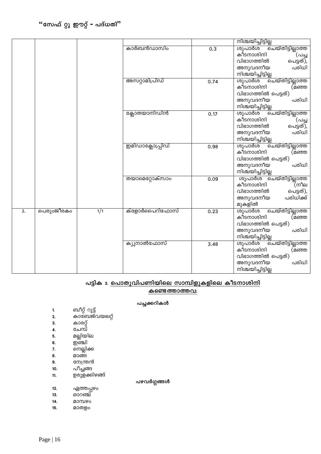|    |            |     |                   |      | <u>നിശ്ചയിച്ചിട്ടില്ല</u>                                                                                                       |
|----|------------|-----|-------------------|------|---------------------------------------------------------------------------------------------------------------------------------|
|    |            |     | കാർബൻഡാസിം        | 0.3  | ശുപാർശ<br><u>്ചെയ്തിട്ടില്ലാത്ത</u><br>കീടനാശിനി<br>(പച്ച<br>വിഭാഗത്തിൽ<br>പെട്ടത്),<br>പരിധി<br>അനുവദനീയ<br>നിശ്ചയിച്ചിട്ടില്ല |
|    |            |     | അസറ്റാമിപ്രിഡ്    | 0.74 | ശുപാർശ<br>ചെയ്തിട്ടില്ലാത്ത<br>കീടനാശിനി<br>(മഞ്ഞ<br>വിഭാഗത്തിൽ പെട്ടത്)<br>പരിധി<br>അനുവദനീയ<br>നിശ്ചയിച്ചിട്ടില്ല             |
|    |            |     | ക്ലോതയാനിഡിൻ      | 0.17 | ശുപാർശ<br><u>ചെയ്തിട്ടില്ലാത്ത</u><br>കീടനാശിനി<br>(പച്ച<br>പെട്ടത്),<br>വിഭാഗത്തിൽ<br>പരിധി<br>അനുവദനീയ<br>നിശ്ചയിച്ചിട്ടില്ല  |
|    |            |     | ഇമിഡാക്ലോപ്പ്രിഡ് | 0.98 | ശുപാർശ<br><u>ചെയ്തിട്ടില്ലാത്ത</u><br>കീടനാശിനി<br>(മഞ്ഞ<br>വിഭാഗത്തിൽ പെട്ടത്)<br>പരിധി<br>അനുവദനീയ<br>നിശ്ചയിച്ചിട്ടില്ല      |
|    |            |     | തയാമെറ്റോക്സാം    | 0.09 | ശുപാർശ ചെയ്തിട്ടില്ലാത്ത<br>കീടനാശിനി<br>(നീല<br>വിഭാഗത്തിൽ<br>പെട്ടത്),<br>പരിധിക്ക്<br>അനുവദനീയ<br>മുകളിൽ                     |
| 2. | പെരുറജീരകം | 1/1 | ക്ളോർപൈറിഫോസ്     | 0.23 | ശുപാർശ<br>ചെയ്തിട്ടില്ലാത്ത<br>കീടനാശിനി<br>(മഞ്ഞ<br>വിഭാഗത്തിൽ പെട്ടത്)<br>പരിധി<br>അനുവദനീയ<br>നിശ്ചയിച്ചിട്ടില്ല             |
|    |            |     | ക്യുനാൽഫോസ്       | 3.48 | ശുപാർശ<br><u>ചെയ്തിട്ടില്ലാത്ത</u><br>കീടനാശിനി<br>(മഞ്ഞ<br>വിഭാഗത്തിൽ പെട്ടത്)<br>പരിധി<br>അനുവദനീയ<br>നിശ്ചയിച്ചിട്ടില്ല      |

### പട്ടിക<sup>3</sup>. <u>പൊതുവിപണിയിലെ സാമ്പിളുകളിലെ കീടനാശിനി</u> **കണ്ടെ** ത്താത്തവ:

#### പച്ചക്കറികൾ

- **1.** \_oäv dq«v
- കാണേജ്വയലറ്റ്
- 3. കാരറ്റ്
- **4.** ചേമ്പ്
- 5. മല്ലിയില
- **6.** ഈ ഇബി
- **7**. നെല്ലിക്ക<br>8. മാങ്ങ
- 
- **8.** മാങ്ങ<br>**9.** നേന്ത്ര നേന്ത്രൻ
- 
- 10. പീച്ചങ്ങ<br>11. ഉരുളക്കി ഉരുളക്കിഴങ്ങ്

### പഴവർഗ്ഗങ്ങൾ

- **12.** ഏത്തപ്പഴം<br>**13.** ഓറഞ്ച്
- 8ാറഞ്ച്
- **14.** am¼gw
- **15. മാതളം**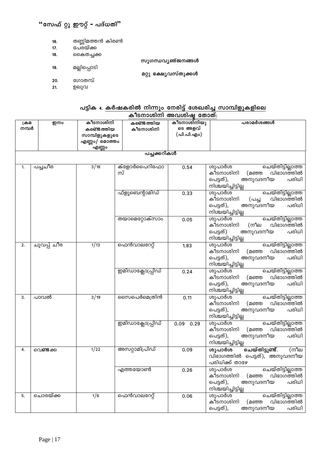- തണ്ണിമത്തൻ കിരൺ 16.
- പേരയ്ക്ക  $17.$
- 18. കൈതച്ചക്ക

മല്ലിപ്പൊടി

- സുഗന്ധവ്യഞ്ജനങ്ങൾ
- മറ്റു ഭക്ഷ്യവസ്തുക്കൾ
- ഗോതമ്പ്  $20.$
- ഉലുവ  $21.$

19.

# പട്ടിക 4. <u>കർഷകരിൽ നിന്നും നേരിട്ട് ശേഖരിച്ച സാമ്പിളുകളിലെ</u>

|               | <b>\$PISUDOOUDI @10CHOOLOGIQ @0DOO:</b> |                                                                                                                                       |                        |              |                                                                                                                                |  |
|---------------|-----------------------------------------|---------------------------------------------------------------------------------------------------------------------------------------|------------------------|--------------|--------------------------------------------------------------------------------------------------------------------------------|--|
| ക്രമ<br>നമ്പർ | ഇനം                                     | കീടനാശിനിയു<br>കീടനാശിനി<br>കണ്ടെത്തിയ<br>ടെ അളവ്<br>കണ്ടെത്തിയ<br>കീടനാശിനി<br>(പി.പി.എം)<br>സാമ്പിളുകളുടെ<br>എണ്ണം/ മൊത്തം<br>എണ്ണം |                        | പരാമർശങ്ങൾ   |                                                                                                                                |  |
|               |                                         |                                                                                                                                       | പച്ചക്കറികൾ            |              |                                                                                                                                |  |
| 1.            | പച്ച <b>ി</b> ര                         | 3/18                                                                                                                                  | ക്ളോർപൈറിഫോ<br>സ്      | 0.54         | ശുപാർശ<br><u>ചെയ്തിട്ടില്ലാത്ത</u><br>വിഭാഗത്തിൽ<br>കീടനാശിനി<br>(മഞ്ഞ<br>പെട്ടത്),<br>അനുവദനീയ<br>പരിധി<br>നിശ്ചയിച്ചിട്ടില്ല |  |
|               |                                         |                                                                                                                                       | ഫ്ളൂബെന്റാമിഡ്         | 0.33         | ശുപാർശ<br>ചെയ്തിട്ടില്ലാത്ത<br>വിഭാഗത്തിൽ<br>കീടനാശിനി<br>(പച്ച<br>അനുവദനീയ<br>പരിധി<br>പെട്ടത്),<br>നിശ്ചയിച്ചിട്ടില്ല        |  |
|               |                                         |                                                                                                                                       | തയാമെറ്റോക്സ <u>ാം</u> | 0.05         | ശുപാർശ<br>ചെയ്തിട്ടില്ലാത്ത<br>വിഭാഗത്തിൽ<br>കീടനാശിനി<br>(നീല<br>അനുവദനീയ<br>പരിധി<br>പെട്ടത്)<br>നിശ്ചയിച്ചിട്ടില്ല          |  |
| 2.            | ചുവപ്പ് ചീര                             | 1/13                                                                                                                                  | ഫെൻവാലറേറ്റ്           | 1.83         | ശുപാർശ<br>ചെയ്തിട്ടില്ലാത്ത<br>വിഭാഗത്തിൽ<br>കീടനാശിനി<br>(മഞ്ഞ<br>പരിധി<br>പെട്ടത്),<br>അനുവദനീയ<br>നിശ്ചയിച്ചിട്ടില്ല        |  |
|               |                                         |                                                                                                                                       | ഇമിഡാക്ലോപ്പ്രിഡ്      | 0.24         | ശുപാർശ<br>ചെയ്തിട്ടില്ലാത്ത<br>കീടനാശിനി<br>വിഭാഗത്തിൽ<br>(മഞ്ഞ<br>പരിധി<br>പെട്ടത്),<br>അനുവദനീയ<br>നിശ്ചയിച്ചിട്ടില്ല        |  |
| 3.            | പാവൽ                                    | 3/19                                                                                                                                  | സൈപെർമെത്രിൻ           | 0.11         | ശുപാർശ<br>ചെയ്തിട്ടില്ലാത്ത<br>വിഭാഗത്തിൽ<br>കീടനാശിനി<br>(മഞ്ഞ<br>പരിധി<br>പെട്ടത്),<br>അനുവദനീയ<br>നിശ്ചയിച്ചിട്ടില്ല        |  |
|               |                                         |                                                                                                                                       | ഇമിഡാക്ലോപ്പ്രിഡ്      | 0.09<br>0.29 | ശുപാർശ<br><u>ചെയ്തിട്ടില്ലാത്ത</u><br>വിഭാഗത്തിൽ<br>കീടനാശിനി<br>(മഞ്ഞ<br>പെട്ടത്),<br>അനുവദനീയ<br>പരിധി<br>നിശ്ചയിച്ചിട്ടില്ല |  |
| 4.            | വെണ്ടക്ക                                | 1/22                                                                                                                                  | അസറ്റാമിപ്രിഡ്         | 0.09         | ചെയ്തിട്ടുണ്ട്.<br>$\sqrt{m\ln n}$<br>ശുപാർശ<br>വിഭാഗത്തിൽ പെട്ടത്), അനുവദനീയ<br>പരിധിക്ക് താഴേ                                |  |
|               |                                         |                                                                                                                                       | എത്തയോൺ                | 0.26         | ശുപാർശ<br>ചെയ്തിട്ടില്ലാത്ത<br>കീടനാശിനി<br>വിഭാഗത്തിൽ<br>(മഞ്ഞ<br>അനുവദനീയ<br>പെട്ടത്),<br>പരിധി<br>നിശ്ചയിച്ചിട്ടില്ല        |  |
| 5.            | ചൊരയ്ക്ക                                | 1/6                                                                                                                                   | ഫെൻവാലറേറ്റ്           | 0.06         | ശുപാർശ<br>ചെയ്തിട്ടില്ലാത്ത<br>കീടനാശിനി<br>വിഭാഗത്തിൽ<br>(മഞ്ഞ<br>അനുവദനീയ<br>പരിധി<br>പെട്ടത്),                              |  |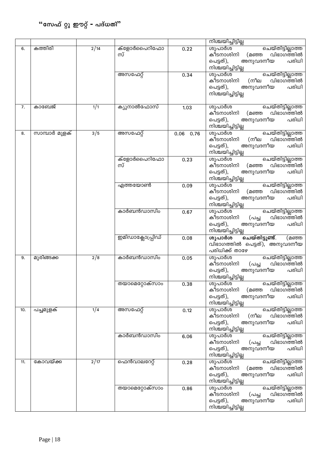|     |               |               |                        |             | നിശ്ചയിച്ചിട്ടില്ല                                                                                                             |
|-----|---------------|---------------|------------------------|-------------|--------------------------------------------------------------------------------------------------------------------------------|
| 6.  | കത്തിരി       | $\sqrt{2/14}$ | ക്ളോർപൈറിഫോ<br>സ്      | 0.22        | <u>ചെയ്തിട്ടില്ലാത്ത</u><br>ശുപാർശ<br>വിഭാഗത്തിൽ<br>കീടനാശിനി<br>(മഞ്ഞ<br>പെട്ടത്),<br>അനുവദനീയ<br>പരിധി<br>നിശ്ചയിച്ചിട്ടില്ല |
|     |               |               | അസഫേറ്റ്               | 0.34        | ശുപാർശ<br><u>ചെയ്തിട്ടില്ലാത്ത</u><br>വിഭാഗത്തിൽ<br>കീടനാശിനി<br>(നീല<br>അനുവദനീയ<br>പെട്ടത്),<br>പരിധി<br>നിശ്ചയിച്ചിട്ടില്ല  |
| 7.  | കാബേജ്        | 1/1           | ക്യുനാൽഫോസ്            | 1.03        | ശുപാർശ<br>ചെയ്തിട്ടില്ലാത്ത<br>വിഭാഗത്തിൽ<br>കീടനാശിനി<br>(മഞ്ഞ<br>പെട്ടത്),<br>അനുവദനീയ<br>പരിധി<br>നിശ്ചയിച്ചിട്ടില്ല        |
| 8.  | സാമ്പാർ മുളക് | 3/5           | അസഫേറ്റ്               | $0.06$ 0.76 | ശുപാർശ<br>ചെയ്തിട്ടില്ലാത്ത<br>വിഭാഗത്തിൽ<br>(നീല<br>കീടനാശിനി<br>അനുവദനീയ<br>പരിധി<br>പെട്ടത്),<br>നിശ്ചയിച്ചിട്ടില്ല         |
|     |               |               | ക്ളോർപൈറിഫോ<br>സ്      | 0.23        | ശുപാർശ<br>ചെയ്തിട്ടില്ലാത്ത<br>വിഭാഗത്തിൽ<br>കീടനാശിനി<br>(മഞ്ഞ<br>അനുവദനീയ<br>പരിധി<br>പെട്ടത്),<br>നിശ്ചയിച്ചിട്ടില്ല        |
|     |               |               | എത്തയോൺ                | 0.09        | ശുപാർശ<br>ചെയ്തിട്ടില്ലാത്ത<br>വിഭാഗത്തിൽ<br>കീടനാശിനി<br>(മഞ്ഞ<br>അനുവദനീയ<br>പരിധി<br>പെട്ടത്),<br>നിശ്ചയിച്ചിട്ടില്ല        |
|     |               |               | കാർബൻഡാസിം             | 0.67        | ശുപാർശ<br>ചെയ്തിട്ടില്ലാത്ത<br>വിഭാഗത്തിൽ<br>കീടനാശിനി<br>(പച്ച<br>പരിധി<br>പെട്ടത്),<br>അനുവദനീയ<br>നിശ്ചയിച്ചിട്ടില്ല        |
|     |               |               | ഇമിഡാക്ലോപ്പ്രിഡ്      | 0.08        | ചെയ്തിട്ടുണ്ട്.<br>ശുപാർശ<br>(മഞ്ഞ<br>വിഭാഗത്തിൽ പെട്ടത്), അനുവദനീയ<br>പരിധിക്ക് താഴേ                                          |
| 9.  | മുരിങ്ങക്ക    | $\sqrt{2/8}$  | കാർബൻഡാസിം             | 0.05        | ശുപാർശ<br>ചെയ്തിട്ടില്ലാത്ത<br>വിഭാഗത്തിൽ<br>കീടനാശിനി<br>(പച്ച<br>പെട്ടത്),<br>പരിധി<br>അനുവദനീയ<br>നിശ്ചയിച്ചിട്ടില്ല        |
|     |               |               | തയാമെറ്റോക്സാം         | 0.38        | ശുപാർശ<br>ചെയ്തിട്ടില്ലാത്ത<br>കീടനാശിനി<br>വിഭാഗത്തിൽ<br>(മഞ്ഞ<br>പരിധി<br>പെട്ടത്),<br>അനുവദനീയ<br>നിശ്ചയിച്ചിട്ടില്ല        |
| 10. | പച്ചമുളക്     | 1/4           | അസഫേറ്റ്               | 0.12        | ശുപാർശ<br><u>ചെയ്തിട്ടില്ലാത്ത</u><br>കീടനാശിനി<br>(നീല<br>വിഭാഗത്തിൽ<br>പെട്ടത്),<br>അനുവദനീയ<br>പരിധി<br>നിശ്ചയിച്ചിട്ടില്ല  |
|     |               |               | കാർബൻഡാസിം             | 6.06        | ശുപാർശ<br>ചെയ്തിട്ടില്ലാത്ത<br>കീടനാശിനി<br>വിഭാഗത്തിൽ<br>(പച്ച<br>പരിധി<br>പെട്ടത്),<br>അനുവദനീയ<br>നിശ്ചയിച്ചിട്ടില്ല        |
| 11. | കോവയ്ക്ക      | $\sqrt{2/17}$ | ഫെൻവാലറേറ്റ്           | 0.28        | ശുപാർശ<br>ചെയ്തിട്ടില്ലാത്ത<br>കീടനാശിനി<br>വിഭാഗത്തിൽ<br>(മഞ്ഞ<br>പരിധി<br>പെട്ടത്),<br>അനുവദനീയ<br>നിശ്ചയിച്ചിട്ടില്ല        |
|     |               |               | തയാമെറ്റോക്സാ <u>ം</u> | 0.86        | ശുപാർശ<br>ചെയ്തിട്ടില്ലാത്ത<br>വിഭാഗത്തിൽ<br>കീടനാശിനി<br>(പച്ച<br>പരിധി<br>പെട്ടത്),<br>അനുവദനീയ<br>നിശ്ചയിച്ചിട്ടില്ല        |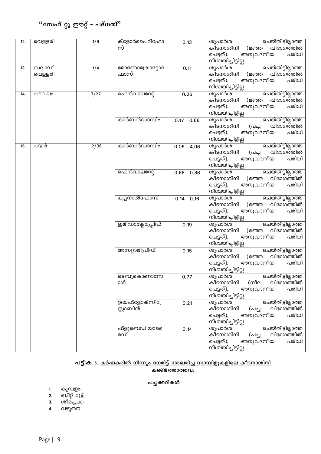# $\cdot$ "സേഫ് റ്റു ഈറ്റ് <del>-</del> പദ്ധതി"

| 12. | വെള്ളരി | 1/9   | ക്ളോർപൈറിഫോ       | 0.13         | ശുപാർശ<br>ചെയ്തിട്ടില്ലാത്ത              |
|-----|---------|-------|-------------------|--------------|------------------------------------------|
|     |         |       | സ്                |              | വിഭാഗത്തിൽ<br>കീടനാശിനി<br>(മഞ്ഞ         |
|     |         |       |                   |              | അനുവദനീയ<br>പെട്ടത്),<br>പരിധി           |
|     |         |       |                   |              | നിശ്ചയിച്ചിട്ടില്ല                       |
| 13. | സലാഡ്   | 1/4   | മോണോക്രോട്ടോ      | 0.11         | ശുപാർശ<br>ചെയ്തിട്ടില്ലാത്ത              |
|     | വെള്ളരി |       | ഫാസ്              |              | വിഭാഗത്തിൽ<br>കീടനാശിനി<br>(മഞ്ഞ         |
|     |         |       |                   |              | അനുവദനീയ<br>പരിധി<br>പെട്ടത്),           |
|     |         |       |                   |              | നിശ്ചയിച്ചിട്ടില്ല                       |
| 14. | പടവലം   | 3/27  | ഫെൻവാലറേറ്റ്      | 0.25         | ശുപാർശ<br>ചെയ്തിട്ടില്ലാത്ത              |
|     |         |       |                   |              | വിഭാഗത്തിൽ<br>കീടനാശിനി<br>(മഞ്ഞ         |
|     |         |       |                   |              | പരിധി<br>പെട്ടത്),<br>അനുവദനീയ           |
|     |         |       |                   |              | നിശ്ചയിച്ചിട്ടില്ല                       |
|     |         |       | കാർബൻഡാസിം        | $0.17$ 0.66  | ശുപാർശ<br>ചെയ്തിട്ടില്ലാത്ത              |
|     |         |       |                   |              | വിഭാഗത്തിൽ<br>കീടനാശിനി<br>(പച്ച         |
|     |         |       |                   |              | പരിധി<br>പെട്ടത്),<br>അനുവദനീയ           |
|     |         |       |                   |              | നിശ്ചയിച്ചിട്ടില്ല                       |
| 15. | പയർ     | 12/36 | കാർബൻഡാസിം        | 0.05<br>4.06 | ശുപാർശ<br>ചെയ്തിട്ടില്ലാത്ത              |
|     |         |       |                   |              | വിഭാഗത്തിൽ<br>കീടനാശിനി<br>(പച്ച         |
|     |         |       |                   |              | പരിധി<br>പെട്ടത്),<br>അനുവദനീയ           |
|     |         |       |                   |              | നിശ്ചയിച്ചിട്ടില്ല                       |
|     |         |       | ഫെൻവാലറേറ്റ്      | $0.68$ 0.86  | ശുപാർശ<br>ചെയ്തിട്ടില്ലാത്ത              |
|     |         |       |                   |              | വിഭാഗത്തിൽ<br>കീടനാശിനി<br>(മഞ്ഞ         |
|     |         |       |                   |              | പരിധി<br>അനുവദനീയ<br>പെട്ടത്),           |
|     |         |       |                   |              | നിശ്ചയിച്ചിട്ടില്ല                       |
|     |         |       | ക്യുനാൽഫോസ്       | $0.14$ 0.16  | ശുപാർശ<br>ചെയ്തിട്ടില്ലാത്ത              |
|     |         |       |                   |              | വിഭാഗത്തിൽ<br>കീടനാശിനി<br>(മഞ്ഞ         |
|     |         |       |                   |              | പരിധി<br>അനുവദനീയ<br>പെട്ടത്),           |
|     |         |       |                   |              | നിശ്ചയിച്ചിട്ടില്ല                       |
|     |         |       | ഇമിഡാക്ലോപ്പ്രിഡ് | 0.19         | ശുപാർശ<br>ചെയ്തിട്ടില്ലാത്ത              |
|     |         |       |                   |              | വിഭാഗത്തിൽ<br>കീടനാശിനി<br>(മഞ്ഞ         |
|     |         |       |                   |              | പരിധി<br>പെട്ടത്),<br>അനുവദനീയ           |
|     |         |       |                   |              | നിശ്ചയിച്ചിട്ടില്ല                       |
|     |         |       | അസറ്റാമിപ്രിഡ്    | 0.15         | ശുപാർശ<br>ചെയ്തിട്ടില്ലാത്ത              |
|     |         |       |                   |              | വിഭാഗത്തിൽ<br>കീടനാശിനി<br>(മഞ്ഞ         |
|     |         |       |                   |              | പെട്ടത്),<br>അനുവദനീയ<br>പരിധി           |
|     |         |       |                   |              | നിശ്ചയിച്ചിട്ടില്ല                       |
|     |         |       | ടെബുകൊണാസേ        | 0.77         | ചെയ്തിട്ടില്ലാത്ത<br>ശുപാർശ              |
|     |         |       | ാൾ                |              | കീടനാശിനി<br>(നീല<br>വിഭാഗത്തിൽ          |
|     |         |       |                   |              | പെട്ടത്),<br>പരിധി<br>അനുവദനീയ           |
|     |         |       |                   |              | നിശ്ചയിച്ചിട്ടില്ല                       |
|     |         |       | ട്രയഫ്ളോക്സിപ്രേ  | 0.21         | ശുപാർശ<br>ചെയ്തിട്ടില്ലാത്ത<br>കീടനാശിനി |
|     |         |       | സ്റ്റാബിൻ         |              | വിഭാഗത്തിൽ<br>(പച്ച                      |
|     |         |       |                   |              | പരിധി<br>പെട്ടത്),<br>അനുവദനീയ           |
|     |         |       |                   |              | നിശ്ചയിച്ചിട്ടില്ല                       |
|     |         |       | ഫ്ളൂബെഡിയാടൈ      | 0.14         | ശുപാർശ<br><u>ചെയ്തിട്ടില്ലാത്ത</u>       |
|     |         |       | മഡ്               |              | കീടനാശിനി<br>വിഭാഗത്തിൽ<br>(പച്ച         |
|     |         |       |                   |              | പരിധി<br>പെട്ടത്),<br>അനുവദനീയ           |
|     |         |       |                   |              | നിശ്ചയിച്ചിട്ടില്ല                       |

#### പട്ടിക 5. <u>കർഷകരിൽ നിന്നും നേരിട്ട് ശേഖരിച്ച സാമ്പിളുകളിലെ കീടനാശിനി</u>

**കണ്ടെത്താത്തവ:** 

#### പച്ചക്കറികൾ

- **1. കുമ്പളം**
- 2. ബീറ്റ് റൂട്ട്
- 3. ശീമച്ചക്ക
- 4. വഴുതന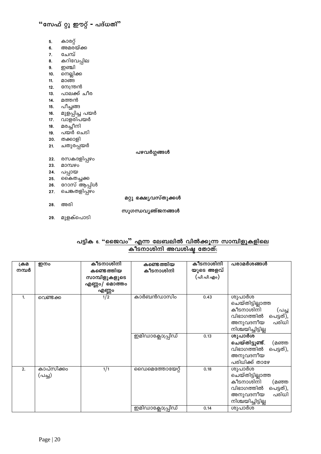- 5. കാരറ്റ്
- 6. അമര്യ്ക്ക
- 7. ചേമ്പ്
- 8. കറിവേപ്പില
- **9.** ഇഞ്ചി
- 10. നെല്ലിക്ക
- 11. മാങ്ങ
- 12. നേന്ത്രൻ
- 13. പാലക്ക് ചീര
- 14. മത്തൻ
- 15. പീച്ചങ്ങ
- 16. മുളപ്പിച്ച പയർ
- 17. വാളരിപയർ
- 18. മരച്ചീനി
- <u>...</u><br>19. പയർ ചെടി
- 20. തക്കാളി
- 21. ചതുരപ്പയർ

പഴവർഗ്ഗങ്ങൾ

- 22. രസകദളിപ്പഴം
- 23. മാമ്പഴം
- 
- 
- 23. മാന്മാര്<br>24. പപ്പായ<br>25. കൈതച്ചക്ക<br>26. റോസ് ആപ്പിൾ
- 27. ചെങ്കതളിപ്പഴം
- 28. അരി

മറ്റു ഭക്ഷ്യവസ്തുക്കൾ

- സുഗന്ധവൃഞ്ജനങ്ങൾ
- 29. മുളക്പൊടി

### പട്ടിക 6. "<u>ജൈവം" എന്ന ലേബലിൽ വിൽക്കൂന്ന സാമ്പിളുകളിലെ</u> കീടനാശിനി അവശിഷ്ട തോത്:

| ക്രമ<br>നമ്പർ    | ഇനം                  | കീടനാശിനി<br>കണ്ടെ ത്തിയ<br>സാമ്പിളുകളുടെ<br>എണ്ണം/ മൊത്തം | കണ്ടെത്തിയ<br>കീടനാശിനി             | കീടനാശിനി<br>യുടെ അളവ്<br>( പി.പി.എം) | പരാമർശങ്ങൾ                                                                                                                        |
|------------------|----------------------|------------------------------------------------------------|-------------------------------------|---------------------------------------|-----------------------------------------------------------------------------------------------------------------------------------|
| 1.               | വെണ്ടക്ക             | എണ്ണം<br>$\frac{1}{2}$                                     | കാർബൻഡാസിം                          | 0.43                                  | ശുപാർശ<br>ചെയ്തിട്ടില്ലാത്ത<br>കീടനാശിനി<br>(പച്ച<br>പെട്ടത്),<br>വിഭാഗത്തിൽ<br>പരിധി<br>അനുവദനീയ<br>നിശ്ചയിച്ചിട്ടില്ല           |
|                  |                      |                                                            | ഇമിഡാക്ലോപ്പ്രിഡ്                   | 0.13                                  | ശുപാർശ<br>ചെയ്തിട്ടുണ്ട്.<br>(മഞ്ഞ<br>വിഭാഗത്തിൽ<br>പെട്ടത്),<br>അനുവദനീയ<br>പരിധിക്ക് താഴേ                                       |
| $\overline{2}$ . | കാപ്സിക്കം<br>(പച്ച) | 1/1                                                        | സൈമെത്തോയേറ്റ്<br>ഇമിഡാക്ലോപ്പ്രിഡ് | 0.18<br>0.14                          | ശുപാർശ<br>ചെയ്തിട്ടില്ലാത്ത<br>കീടനാശിനി<br>(മഞ്ഞ<br>വിഭാഗത്തിൽ<br>പെട്ടത്),<br>പരിധി<br>അനുവദനീയ<br>നിശ്ചയിച്ചിട്ടില്ല<br>ശുപാർശ |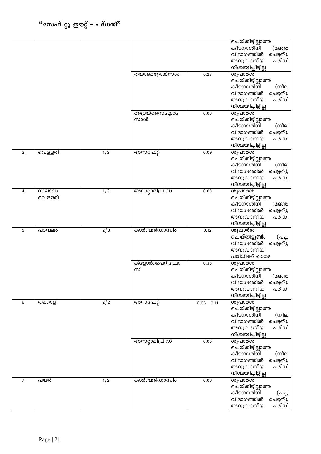|                  |                  |                  |                        |              | ചെയ്തിട്ടില്ലാത്ത<br>കീടനാശിനി<br>(മഞ്ഞ<br>വിഭാഗത്തിൽ<br>പെട്ടത്),<br>പരിധി<br>അനുവദനീയ<br>നിശ്ചയിച്ചിട്ടില്ല           |
|------------------|------------------|------------------|------------------------|--------------|-------------------------------------------------------------------------------------------------------------------------|
|                  |                  |                  | തയാമെറ്റോക്സാ <u>ം</u> | 0.27         | ശുപാർശ<br>ചെയ്തിട്ടില്ലാത്ത<br>കീടനാശിനി<br>(നീല<br>വിഭാഗത്തിൽ<br>പെട്ടത്),<br>പരിധി<br>അനുവദനീയ<br>നിശ്ചയിച്ചിട്ടില്ല  |
|                  |                  |                  | ക്രൈയ്സൈക്ലോ<br>സാൾ    | 0.08         | ശുപാർശ<br>ചെയ്തിട്ടില്ലാത്ത<br>കീടനാശിനി<br>(നീല<br>വിഭാഗത്തിൽ<br>പെട്ടത്),<br>അനുവദനീയ<br>പരിധി<br>നിശ്ചയിച്ചിട്ടില്ല  |
| 3.               | വെള്ളരി          | $\overline{1/3}$ | അസഫേറ്റ്               | 0.09         | ശുപാർശ<br>ചെയ്തിട്ടില്ലാത്ത<br>കീടനാശിനി<br>(നീല<br>വിഭാഗത്തിൽ<br>പെട്ടത്),<br>പരിധി<br>അനുവദനീയ<br>നിശ്ചയിച്ചിട്ടില്ല  |
| 4.               | സലാഡ്<br>വെള്ളരി | 1/3              | അസറ്റാമിപ്രിഡ്         | 0.08         | ശുപാർശ<br>ചെയ്തിട്ടില്ലാത്ത<br>കീടനാശിനി<br>(മഞ്ഞ<br>വിഭാഗത്തിൽ<br>പെട്ടത്),<br>പരിധി<br>അനുവദനീയ<br>നിശ്ചയിച്ചിട്ടില്ല |
| 5.               | പടവലം            | $\sqrt{2}/3$     | കാർബൻഡാസിം             | 0.12         | ശുപാർശ<br>ചെയ്തിട്ടുണ്ട്.<br>(പച്ച<br>വിഭാഗത്തിൽ<br>പെട്ടത്),<br>അനുവദനീയ<br>പരിധിക്ക് താഴേ                             |
|                  |                  |                  | ക്ളോർപൈറിഫോ<br>സ്      | 0.35         | ശുപാർശ<br>ചെയ്തിട്ടില്ലാത്ത<br>കീടനാശിനി<br>(മഞ്ഞ<br>വിഭാഗത്തിൽ<br>പെട്ടത്),<br>അനുവദനീയ<br>പരിധി<br>നിശ്ചയിച്ചിട്ടില്ല |
| 6.               | തക്കാളി          | 2/2              | അസഫേറ്റ്               | 0.06<br>0.11 | ശുപാർശ<br>ചെയ്തിട്ടില്ലാത്ത<br>കീടനാശിനി<br>(നീല<br>വിഭാഗത്തിൽ<br>പെട്ടത്),<br>പരിധി<br>അനുവദനീയ<br>നിശ്ചയിച്ചിട്ടില്ല  |
|                  |                  |                  | അസറ്റാമിപ്രിഡ്         | 0.05         | ശുപാർശ<br>ചെയ്തിട്ടില്ലാത്ത<br>കീടനാശിനി<br>(നീല<br>വിഭാഗത്തിൽ<br>പെട്ടത്),<br>പരിധി<br>അനുവദനീയ<br>നിശ്ചയിച്ചിട്ടില്ല  |
| $\overline{7}$ . | പയർ              | $\frac{1}{2}$    | കാർബൻഡാസിം             | 0.06         | ശുപാർശ<br>ചെയ്തിട്ടില്ലാത്ത<br>കീടനാശിനി<br>(പച്ച<br>വിഭാഗത്തിൽ<br>പെട്ടത്),<br>അനുവദനീയ<br>പരിധി                       |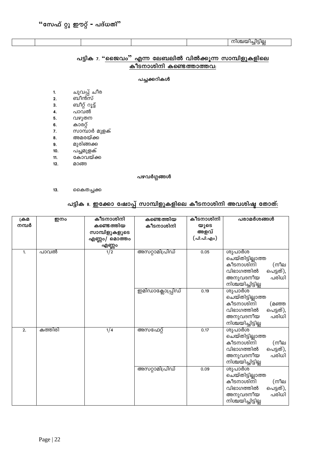| ou |
|----|
|----|

### പട്ടിക 7. "ജൈവം" എന്ന ലേബലിൽ വിൽക്കൂന്ന സാമ്പിളുകളിലെ കീടനാശിനി കണ്ടെത്താത്തവ:

#### പച്ചക്കറികൾ

- ചുവപ്പ് ചീര<br>ബീൻസ്  $\mathbf{1}$ .
- $2.$
- …\_……<br>ബീറ്റ് റൂട്ട്  $3.$
- പാവ്ൽ് 4.
- വഴുതന  $5.$
- കാരറ്റ്  $6.$
- സാമ്പാർ മുളക് 7.
- അമരയ്ക്ക  $8.$
- മുരിങ്ങക്ക 9.
- പച്ചമുളക്  $10.$
- കോവയ്ക്ക  $11.$
- $12.$ മാങ്ങ

പഴവർഗ്ഗങ്ങൾ

 $13.$ കൈതച്ചക്ക

### പട്ടിക ഃ. ഇക്കോ ഷോപ്പ് സാമ്പിളുകളിലെ കീടനാശിനി അവശിഷ്ട തോത്:

| ക്രമ  | ഇനം     | കീടനാശിനി     | കണ്ടെത്തിയ        | കീടനാശിനി  | പരാമർശങ്ങൾ                                                                                                              |
|-------|---------|---------------|-------------------|------------|-------------------------------------------------------------------------------------------------------------------------|
| നമ്പർ |         | കണ്ടെത്തിയ    | കീടനാശിനി         | യുടെ       |                                                                                                                         |
|       |         | സാമ്പിളുകളുടെ |                   | അളവ്       |                                                                                                                         |
|       |         | എണ്ണം/ മൊത്തം |                   | (പി.പി.എം) |                                                                                                                         |
|       |         | എണ്ണം         |                   |            |                                                                                                                         |
| 1.    | പാവൽ    | $\sqrt{1/2}$  | അസറ്റാമിപ്രിഡ്    | 0.05       | ശുപാർശ<br>ചെയ്തിട്ടില്ലാത്ത<br>കീടനാശിനി<br>(നീല<br>വിഭാഗത്തിൽ<br>പെട്ടത്),<br>അനുവദനീയ<br>പരിധി                        |
|       |         |               |                   |            | നിശ്ചയിച്ചിട്ടില്ല                                                                                                      |
|       |         |               | ഇമിഡാക്ലോപ്പ്രിഡ് | 0.19       | ശുപാർശ<br>ചെയ്തിട്ടില്ലാത്ത<br>കീടനാശിനി<br>(മഞ്ഞ<br>വിഭാഗത്തിൽ<br>പെട്ടത്),<br>പരിധി<br>അനുവദനീയ<br>നിശ്ചയിച്ചിട്ടില്ല |
| 2.    | കത്തിരി | 1/4           | അസഫേറ്റ്          | 0.17       | ശുപാർശ<br>ചെയ്തിട്ടില്ലാത്ത<br>കീടനാശിനി<br>(നീല<br>വിഭാഗത്തിൽ<br>പെട്ടത്),<br>അനുവദനീയ<br>പരിധി<br>നിശ്ചയിച്ചിട്ടില്ല  |
|       |         |               | അസറ്റാമിപ്രിഡ്    | 0.09       | ശുപാർശ<br>ചെയ്തിട്ടില്ലാത്ത<br>കീടനാശിനി<br>(നീല<br>വിഭാഗത്തിൽ<br>പെട്ടത്),<br>പരിധി<br>അനുവദനീയ<br>നിശ്ചയിച്ചിട്ടില്ല  |